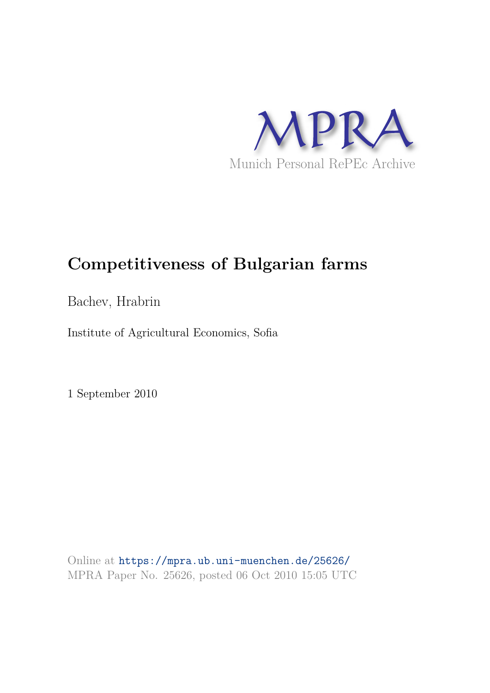

# **Competitiveness of Bulgarian farms**

Bachev, Hrabrin

Institute of Agricultural Economics, Sofia

1 September 2010

Online at https://mpra.ub.uni-muenchen.de/25626/ MPRA Paper No. 25626, posted 06 Oct 2010 15:05 UTC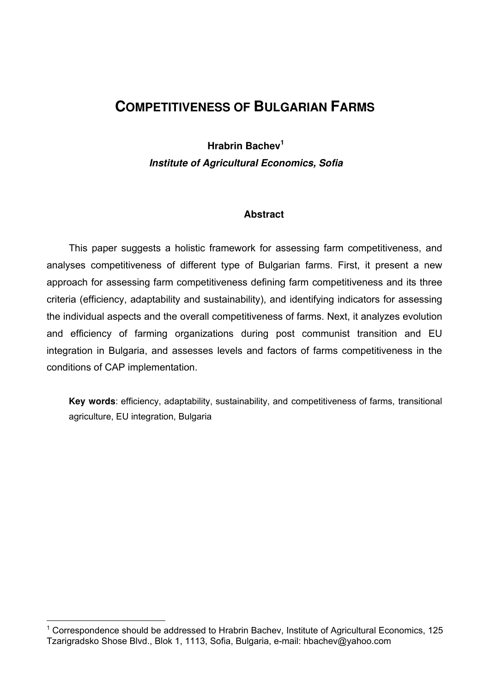# **COMPETITIVENESS OF BULGARIAN FARMS**

**Hrabrin Bachev<sup>1</sup> Institute of Agricultural Economics, Sofia** 

#### **Abstract**

This paper suggests a holistic framework for assessing farm competitiveness, and analyses competitiveness of different type of Bulgarian farms. First, it present a new approach for assessing farm competitiveness defining farm competitiveness and its three criteria (efficiency, adaptability and sustainability), and identifying indicators for assessing the individual aspects and the overall competitiveness of farms. Next, it analyzes evolution and efficiency of farming organizations during post communist transition and EU integration in Bulgaria, and assesses levels and factors of farms competitiveness in the conditions of CAP implementation.

**Key words**: efficiency, adaptability, sustainability, and competitiveness of farms, transitional agriculture, EU integration, Bulgaria

 $\overline{a}$ 

<sup>&</sup>lt;sup>1</sup> Correspondence should be addressed to Hrabrin Bachev, Institute of Agricultural Economics, 125 Tzarigradsko Shose Blvd., Blok 1, 1113, Sofia, Bulgaria, e-mail: hbachev@yahoo.com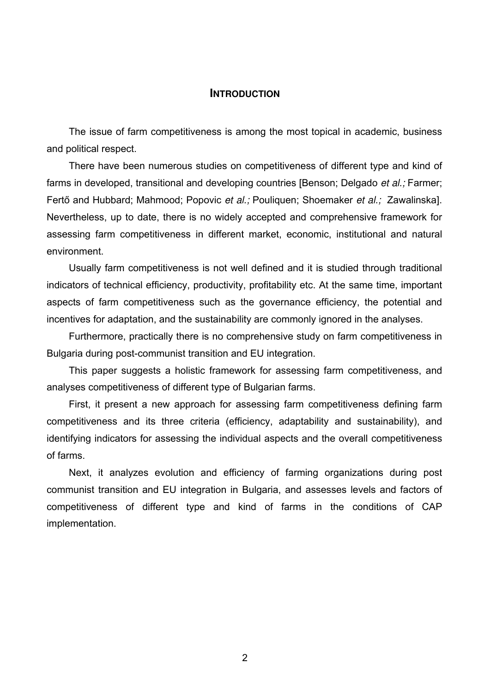#### **INTRODUCTION**

The issue of farm competitiveness is among the most topical in academic, business and political respect.

There have been numerous studies on competitiveness of different type and kind of farms in developed, transitional and developing countries [Benson; Delgado *et al.;* Farmer; Fertő and Hubbard; Mahmood; Popovic et al.; Pouliquen; Shoemaker et al.; Zawalinska]. Nevertheless, up to date, there is no widely accepted and comprehensive framework for assessing farm competitiveness in different market, economic, institutional and natural environment.

Usually farm competitiveness is not well defined and it is studied through traditional indicators of technical efficiency, productivity, profitability etc. At the same time, important aspects of farm competitiveness such as the governance efficiency, the potential and incentives for adaptation, and the sustainability are commonly ignored in the analyses.

Furthermore, practically there is no comprehensive study on farm competitiveness in Bulgaria during post-communist transition and EU integration.

This paper suggests a holistic framework for assessing farm competitiveness, and analyses competitiveness of different type of Bulgarian farms.

First, it present a new approach for assessing farm competitiveness defining farm competitiveness and its three criteria (efficiency, adaptability and sustainability), and identifying indicators for assessing the individual aspects and the overall competitiveness of farms.

Next, it analyzes evolution and efficiency of farming organizations during post communist transition and EU integration in Bulgaria, and assesses levels and factors of competitiveness of different type and kind of farms in the conditions of CAP implementation.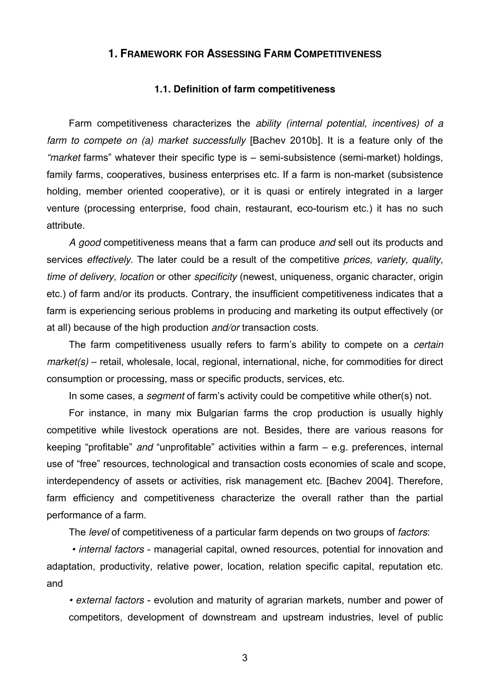#### **1. FRAMEWORK FOR ASSESSING FARM COMPETITIVENESS**

#### **1.1. Definition of farm competitiveness**

Farm competitiveness characterizes the ability (internal potential, incentives) of a farm to compete on (a) market successfully [Bachev 2010b]. It is a feature only of the "market farms" whatever their specific type is – semi-subsistence (semi-market) holdings, family farms, cooperatives, business enterprises etc. If a farm is non-market (subsistence holding, member oriented cooperative), or it is quasi or entirely integrated in a larger venture (processing enterprise, food chain, restaurant, eco-tourism etc.) it has no such attribute.

A good competitiveness means that a farm can produce and sell out its products and services effectively. The later could be a result of the competitive prices, variety, quality, time of delivery, location or other specificity (newest, uniqueness, organic character, origin etc.) of farm and/or its products. Contrary, the insufficient competitiveness indicates that a farm is experiencing serious problems in producing and marketing its output effectively (or at all) because of the high production and/or transaction costs.

The farm competitiveness usually refers to farm's ability to compete on a *certain*  $market(s)$  – retail, wholesale, local, regional, international, niche, for commodities for direct consumption or processing, mass or specific products, services, etc.

In some cases, a *segment* of farm's activity could be competitive while other(s) not.

For instance, in many mix Bulgarian farms the crop production is usually highly competitive while livestock operations are not. Besides, there are various reasons for keeping "profitable" and "unprofitable" activities within a farm  $-$  e.g. preferences, internal use of "free" resources, technological and transaction costs economies of scale and scope, interdependency of assets or activities, risk management etc. [Bachev 2004]. Therefore, farm efficiency and competitiveness characterize the overall rather than the partial performance of a farm.

The level of competitiveness of a particular farm depends on two groups of factors:

• internal factors - managerial capital, owned resources, potential for innovation and adaptation, productivity, relative power, location, relation specific capital, reputation etc. and

• external factors - evolution and maturity of agrarian markets, number and power of competitors, development of downstream and upstream industries, level of public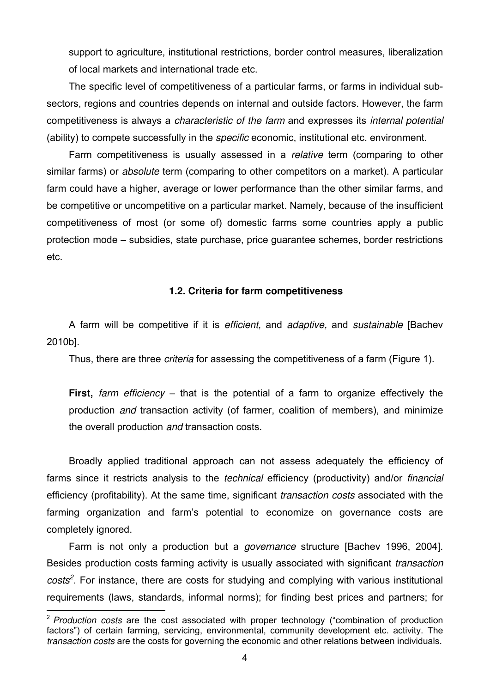support to agriculture, institutional restrictions, border control measures, liberalization of local markets and international trade etc.

The specific level of competitiveness of a particular farms, or farms in individual subsectors, regions and countries depends on internal and outside factors. However, the farm competitiveness is always a characteristic of the farm and expresses its internal potential (ability) to compete successfully in the specific economic, institutional etc. environment.

Farm competitiveness is usually assessed in a relative term (comparing to other similar farms) or *absolute* term (comparing to other competitors on a market). A particular farm could have a higher, average or lower performance than the other similar farms, and be competitive or uncompetitive on a particular market. Namely, because of the insufficient competitiveness of most (or some of) domestic farms some countries apply a public protection mode – subsidies, state purchase, price guarantee schemes, border restrictions etc.

#### **1.2. Criteria for farm competitiveness**

A farm will be competitive if it is efficient, and adaptive, and sustainable [Bachev 2010b].

Thus, there are three *criteria* for assessing the competitiveness of a farm (Figure 1).

**First,** farm efficiency – that is the potential of a farm to organize effectively the production and transaction activity (of farmer, coalition of members), and minimize the overall production and transaction costs.

Broadly applied traditional approach can not assess adequately the efficiency of farms since it restricts analysis to the *technical* efficiency (productivity) and/or *financial* efficiency (profitability). At the same time, significant transaction costs associated with the farming organization and farm's potential to economize on governance costs are completely ignored.

Farm is not only a production but a governance structure [Bachev 1996, 2004]. Besides production costs farming activity is usually associated with significant transaction  $costs<sup>2</sup>$ . For instance, there are costs for studying and complying with various institutional requirements (laws, standards, informal norms); for finding best prices and partners; for  $\overline{a}$ 

 $2$  Production costs are the cost associated with proper technology ("combination of production factors") of certain farming, servicing, environmental, community development etc. activity. The transaction costs are the costs for governing the economic and other relations between individuals.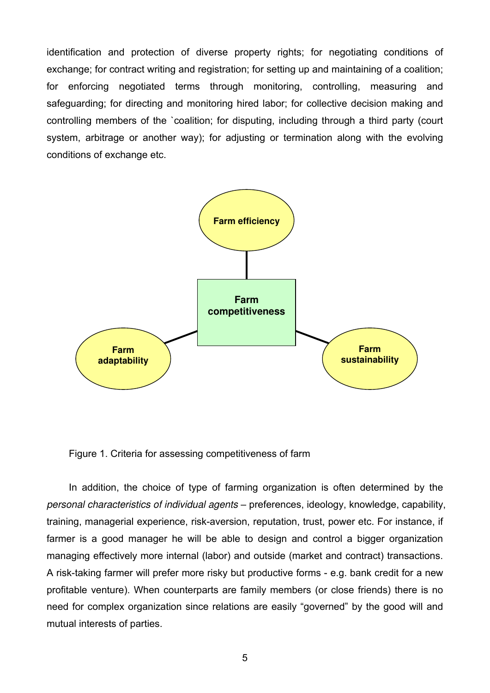identification and protection of diverse property rights; for negotiating conditions of exchange; for contract writing and registration; for setting up and maintaining of a coalition; for enforcing negotiated terms through monitoring, controlling, measuring and safeguarding; for directing and monitoring hired labor; for collective decision making and controlling members of the `coalition; for disputing, including through a third party (court system, arbitrage or another way); for adjusting or termination along with the evolving conditions of exchange etc.



Figure 1. Criteria for assessing competitiveness of farm

In addition, the choice of type of farming organization is often determined by the personal characteristics of individual agents – preferences, ideology, knowledge, capability, training, managerial experience, risk-aversion, reputation, trust, power etc. For instance, if farmer is a good manager he will be able to design and control a bigger organization managing effectively more internal (labor) and outside (market and contract) transactions. A risk-taking farmer will prefer more risky but productive forms - e.g. bank credit for a new profitable venture). When counterparts are family members (or close friends) there is no need for complex organization since relations are easily "governed" by the good will and mutual interests of parties.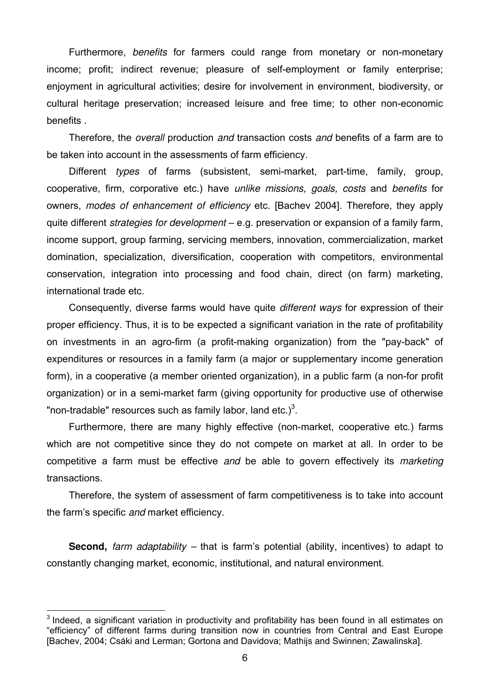Furthermore, benefits for farmers could range from monetary or non-monetary income; profit; indirect revenue; pleasure of self-employment or family enterprise; enjoyment in agricultural activities; desire for involvement in environment, biodiversity, or cultural heritage preservation; increased leisure and free time; to other non-economic benefits .

Therefore, the overall production and transaction costs and benefits of a farm are to be taken into account in the assessments of farm efficiency.

Different types of farms (subsistent, semi-market, part-time, family, group, cooperative, firm, corporative etc.) have unlike missions, goals, costs and benefits for owners, modes of enhancement of efficiency etc. [Bachev 2004]. Therefore, they apply quite different strategies for development – e.g. preservation or expansion of a family farm, income support, group farming, servicing members, innovation, commercialization, market domination, specialization, diversification, cooperation with competitors, environmental conservation, integration into processing and food chain, direct (on farm) marketing, international trade etc.

Consequently, diverse farms would have quite different ways for expression of their proper efficiency. Thus, it is to be expected a significant variation in the rate of profitability on investments in an agro-firm (a profit-making organization) from the "pay-back" of expenditures or resources in a family farm (a major or supplementary income generation form), in a cooperative (a member oriented organization), in a public farm (a non-for profit organization) or in a semi-market farm (giving opportunity for productive use of otherwise "non-tradable" resources such as family labor, land etc.) $3$ .

Furthermore, there are many highly effective (non-market, cooperative etc.) farms which are not competitive since they do not compete on market at all. In order to be competitive a farm must be effective and be able to govern effectively its marketing transactions.

Therefore, the system of assessment of farm competitiveness is to take into account the farm's specific and market efficiency.

**Second,** farm adaptability – that is farm's potential (ability, incentives) to adapt to constantly changing market, economic, institutional, and natural environment.

 $\overline{a}$ 

 $3$  Indeed, a significant variation in productivity and profitability has been found in all estimates on "efficiency" of different farms during transition now in countries from Central and East Europe [Bachev, 2004; Csáki and Lerman; Gortona and Davidova; Mathijs and Swinnen; Zawalinska].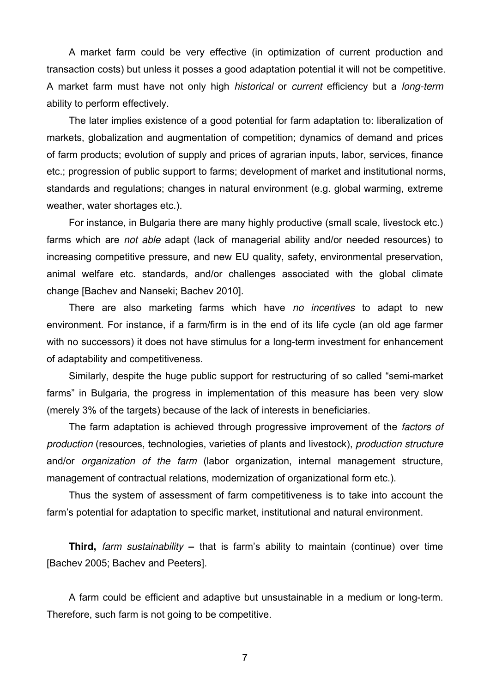A market farm could be very effective (in optimization of current production and transaction costs) but unless it posses a good adaptation potential it will not be competitive. A market farm must have not only high historical or current efficiency but a long-term ability to perform effectively.

The later implies existence of a good potential for farm adaptation to: liberalization of markets, globalization and augmentation of competition; dynamics of demand and prices of farm products; evolution of supply and prices of agrarian inputs, labor, services, finance etc.; progression of public support to farms; development of market and institutional norms, standards and regulations; changes in natural environment (e.g. global warming, extreme weather, water shortages etc.).

For instance, in Bulgaria there are many highly productive (small scale, livestock etc.) farms which are not able adapt (lack of managerial ability and/or needed resources) to increasing competitive pressure, and new EU quality, safety, environmental preservation, animal welfare etc. standards, and/or challenges associated with the global climate change [Bachev and Nanseki; Bachev 2010].

There are also marketing farms which have no incentives to adapt to new environment. For instance, if a farm/firm is in the end of its life cycle (an old age farmer with no successors) it does not have stimulus for a long-term investment for enhancement of adaptability and competitiveness.

Similarly, despite the huge public support for restructuring of so called "semi-market farms" in Bulgaria, the progress in implementation of this measure has been very slow (merely 3% of the targets) because of the lack of interests in beneficiaries.

The farm adaptation is achieved through progressive improvement of the factors of production (resources, technologies, varieties of plants and livestock), production structure and/or organization of the farm (labor organization, internal management structure, management of contractual relations, modernization of organizational form etc.).

Thus the system of assessment of farm competitiveness is to take into account the farm's potential for adaptation to specific market, institutional and natural environment.

**Third,** farm sustainability **–** that is farm's ability to maintain (continue) over time [Bachev 2005; Bachev and Peeters].

A farm could be efficient and adaptive but unsustainable in a medium or long-term. Therefore, such farm is not going to be competitive.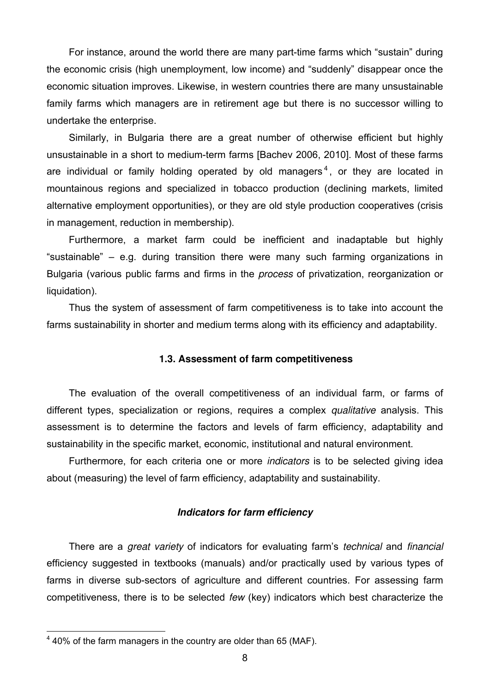For instance, around the world there are many part-time farms which "sustain" during the economic crisis (high unemployment, low income) and "suddenly" disappear once the economic situation improves. Likewise, in western countries there are many unsustainable family farms which managers are in retirement age but there is no successor willing to undertake the enterprise.

Similarly, in Bulgaria there are a great number of otherwise efficient but highly unsustainable in a short to medium-term farms [Bachev 2006, 2010]. Most of these farms are individual or family holding operated by old managers<sup>4</sup>, or they are located in mountainous regions and specialized in tobacco production (declining markets, limited alternative employment opportunities), or they are old style production cooperatives (crisis in management, reduction in membership).

Furthermore, a market farm could be inefficient and inadaptable but highly "sustainable" – e.g. during transition there were many such farming organizations in Bulgaria (various public farms and firms in the process of privatization, reorganization or liquidation).

Thus the system of assessment of farm competitiveness is to take into account the farms sustainability in shorter and medium terms along with its efficiency and adaptability.

#### **1.3. Assessment of farm competitiveness**

The evaluation of the overall competitiveness of an individual farm, or farms of different types, specialization or regions, requires a complex *qualitative* analysis. This assessment is to determine the factors and levels of farm efficiency, adaptability and sustainability in the specific market, economic, institutional and natural environment.

Furthermore, for each criteria one or more *indicators* is to be selected giving idea about (measuring) the level of farm efficiency, adaptability and sustainability.

#### **Indicators for farm efficiency**

There are a great variety of indicators for evaluating farm's technical and financial efficiency suggested in textbooks (manuals) and/or practically used by various types of farms in diverse sub-sectors of agriculture and different countries. For assessing farm competitiveness, there is to be selected few (key) indicators which best characterize the

 $\overline{a}$ 

 $4$  40% of the farm managers in the country are older than 65 (MAF).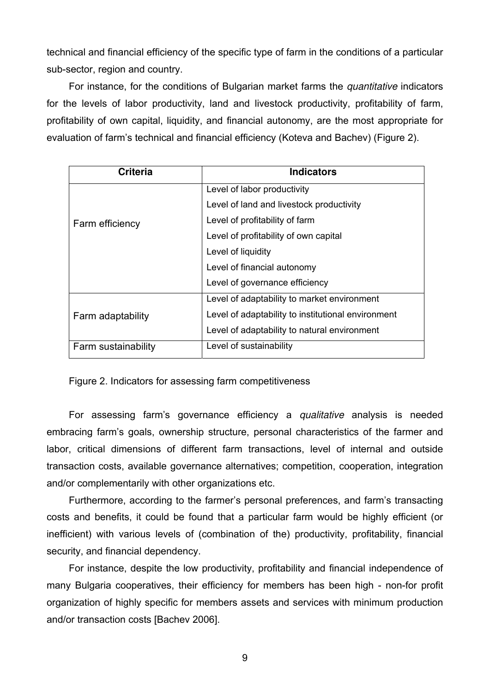technical and financial efficiency of the specific type of farm in the conditions of a particular sub-sector, region and country.

For instance, for the conditions of Bulgarian market farms the quantitative indicators for the levels of labor productivity, land and livestock productivity, profitability of farm, profitability of own capital, liquidity, and financial autonomy, are the most appropriate for evaluation of farm's technical and financial efficiency (Koteva and Bachev) (Figure 2).

| <b>Criteria</b>     | <b>Indicators</b>                                  |  |  |  |  |  |
|---------------------|----------------------------------------------------|--|--|--|--|--|
|                     | Level of labor productivity                        |  |  |  |  |  |
|                     | Level of land and livestock productivity           |  |  |  |  |  |
| Farm efficiency     | Level of profitability of farm                     |  |  |  |  |  |
|                     | Level of profitability of own capital              |  |  |  |  |  |
|                     | Level of liquidity                                 |  |  |  |  |  |
|                     | Level of financial autonomy                        |  |  |  |  |  |
|                     | Level of governance efficiency                     |  |  |  |  |  |
|                     | Level of adaptability to market environment        |  |  |  |  |  |
| Farm adaptability   | Level of adaptability to institutional environment |  |  |  |  |  |
|                     | Level of adaptability to natural environment       |  |  |  |  |  |
| Farm sustainability | Level of sustainability                            |  |  |  |  |  |

Figure 2. Indicators for assessing farm competitiveness

For assessing farm's governance efficiency a qualitative analysis is needed embracing farm's goals, ownership structure, personal characteristics of the farmer and labor, critical dimensions of different farm transactions, level of internal and outside transaction costs, available governance alternatives; competition, cooperation, integration and/or complementarily with other organizations etc.

Furthermore, according to the farmer's personal preferences, and farm's transacting costs and benefits, it could be found that a particular farm would be highly efficient (or inefficient) with various levels of (combination of the) productivity, profitability, financial security, and financial dependency.

For instance, despite the low productivity, profitability and financial independence of many Bulgaria cooperatives, their efficiency for members has been high - non-for profit organization of highly specific for members assets and services with minimum production and/or transaction costs [Bachev 2006].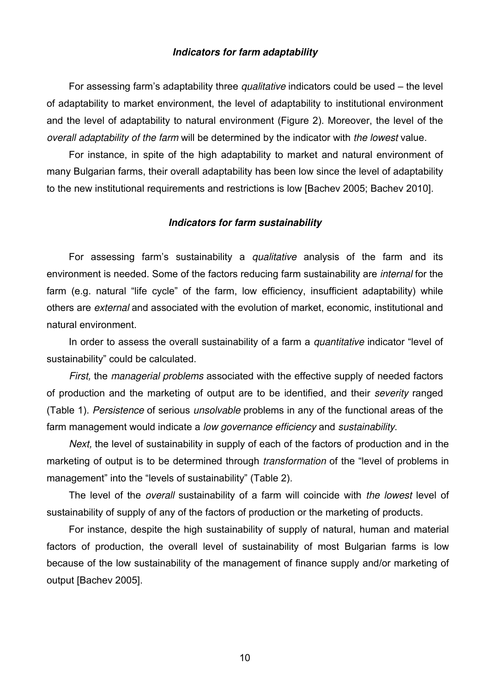#### **Indicators for farm adaptability**

For assessing farm's adaptability three qualitative indicators could be used – the level of adaptability to market environment, the level of adaptability to institutional environment and the level of adaptability to natural environment (Figure 2). Moreover, the level of the overall adaptability of the farm will be determined by the indicator with the lowest value.

For instance, in spite of the high adaptability to market and natural environment of many Bulgarian farms, their overall adaptability has been low since the level of adaptability to the new institutional requirements and restrictions is low [Bachev 2005; Bachev 2010].

#### **Indicators for farm sustainability**

For assessing farm's sustainability a qualitative analysis of the farm and its environment is needed. Some of the factors reducing farm sustainability are internal for the farm (e.g. natural "life cycle" of the farm, low efficiency, insufficient adaptability) while others are external and associated with the evolution of market, economic, institutional and natural environment.

In order to assess the overall sustainability of a farm a *quantitative* indicator "level of sustainability" could be calculated.

First, the managerial problems associated with the effective supply of needed factors of production and the marketing of output are to be identified, and their severity ranged (Table 1). Persistence of serious unsolvable problems in any of the functional areas of the farm management would indicate a low governance efficiency and sustainability.

Next, the level of sustainability in supply of each of the factors of production and in the marketing of output is to be determined through transformation of the "level of problems in management" into the "levels of sustainability" (Table 2).

The level of the *overall* sustainability of a farm will coincide with the lowest level of sustainability of supply of any of the factors of production or the marketing of products.

For instance, despite the high sustainability of supply of natural, human and material factors of production, the overall level of sustainability of most Bulgarian farms is low because of the low sustainability of the management of finance supply and/or marketing of output [Bachev 2005].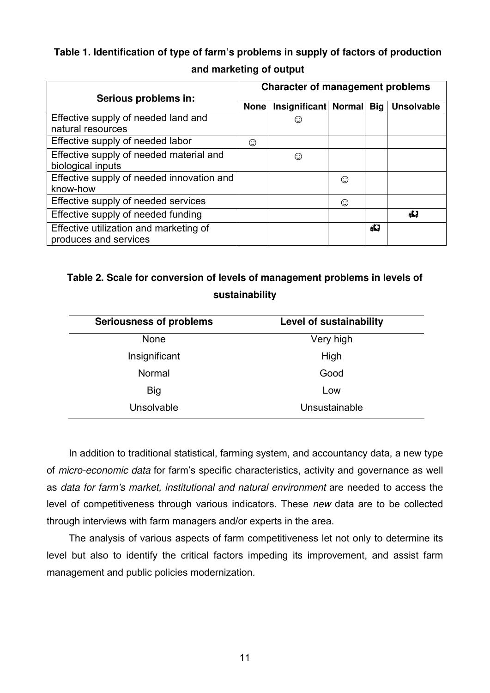## **Table 1. Identification of type of farm's problems in supply of factors of production and marketing of output**

| Serious problems in:                                            | <b>Character of management problems</b> |                          |         |   |                   |  |  |  |  |
|-----------------------------------------------------------------|-----------------------------------------|--------------------------|---------|---|-------------------|--|--|--|--|
|                                                                 | <b>None</b>                             | Insignificant Normal Big |         |   | <b>Unsolvable</b> |  |  |  |  |
| Effective supply of needed land and<br>natural resources        |                                         | $\odot$                  |         |   |                   |  |  |  |  |
| Effective supply of needed labor                                | ⊙                                       |                          |         |   |                   |  |  |  |  |
| Effective supply of needed material and<br>biological inputs    |                                         | ☺                        |         |   |                   |  |  |  |  |
| Effective supply of needed innovation and<br>know-how           |                                         |                          | ☺       |   |                   |  |  |  |  |
| Effective supply of needed services                             |                                         |                          | $\odot$ |   |                   |  |  |  |  |
| Effective supply of needed funding                              |                                         |                          |         |   | Æ                 |  |  |  |  |
| Effective utilization and marketing of<br>produces and services |                                         |                          |         | Æ |                   |  |  |  |  |

## **Table 2. Scale for conversion of levels of management problems in levels of sustainability**

| <b>Seriousness of problems</b> | Level of sustainability |
|--------------------------------|-------------------------|
| None                           | Very high               |
| Insignificant                  | High                    |
| Normal                         | Good                    |
| <b>Big</b>                     | Low                     |
| Unsolvable                     | Unsustainable           |

In addition to traditional statistical, farming system, and accountancy data, a new type of micro-economic data for farm's specific characteristics, activity and governance as well as data for farm's market, institutional and natural environment are needed to access the level of competitiveness through various indicators. These new data are to be collected through interviews with farm managers and/or experts in the area.

The analysis of various aspects of farm competitiveness let not only to determine its level but also to identify the critical factors impeding its improvement, and assist farm management and public policies modernization.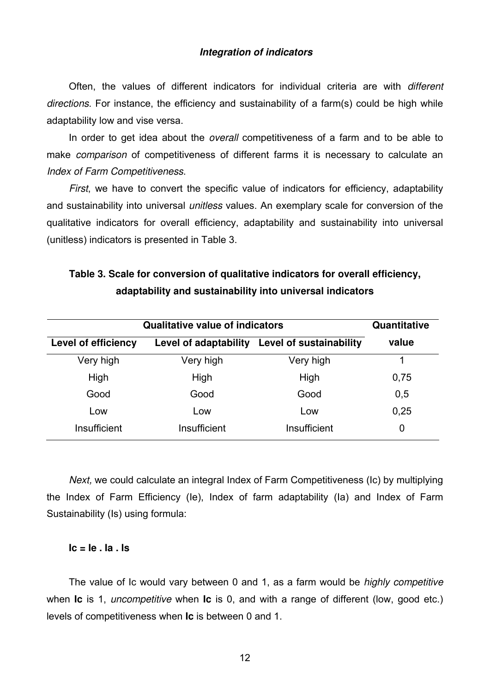#### **Integration of indicators**

Often, the values of different indicators for individual criteria are with different directions. For instance, the efficiency and sustainability of a farm(s) could be high while adaptability low and vise versa.

In order to get idea about the *overall* competitiveness of a farm and to be able to make *comparison* of competitiveness of different farms it is necessary to calculate an Index of Farm Competitiveness.

First, we have to convert the specific value of indicators for efficiency, adaptability and sustainability into universal *unitless* values. An exemplary scale for conversion of the qualitative indicators for overall efficiency, adaptability and sustainability into universal (unitless) indicators is presented in Table 3.

### **Table 3. Scale for conversion of qualitative indicators for overall efficiency, adaptability and sustainability into universal indicators**

| <b>Qualitative value of indicators</b> | Quantitative          |                                |       |
|----------------------------------------|-----------------------|--------------------------------|-------|
| <b>Level of efficiency</b>             | Level of adaptability | <b>Level of sustainability</b> | value |
| Very high                              | Very high             | Very high                      |       |
| High                                   | High                  | High                           | 0,75  |
| Good                                   | Good                  | Good                           | 0,5   |
| Low                                    | Low                   | Low                            | 0,25  |
| Insufficient                           | Insufficient          | Insufficient                   | 0     |

Next, we could calculate an integral Index of Farm Competitiveness (Ic) by multiplying the Index of Farm Efficiency (Ie), Index of farm adaptability (Ia) and Index of Farm Sustainability (Is) using formula:

#### **Ic = Ie . Ia . Is**

The value of Ic would vary between 0 and 1, as a farm would be *highly competitive* when **Ic** is 1, *uncompetitive* when **Ic** is 0, and with a range of different (low, good etc.) levels of competitiveness when **Ic** is between 0 and 1.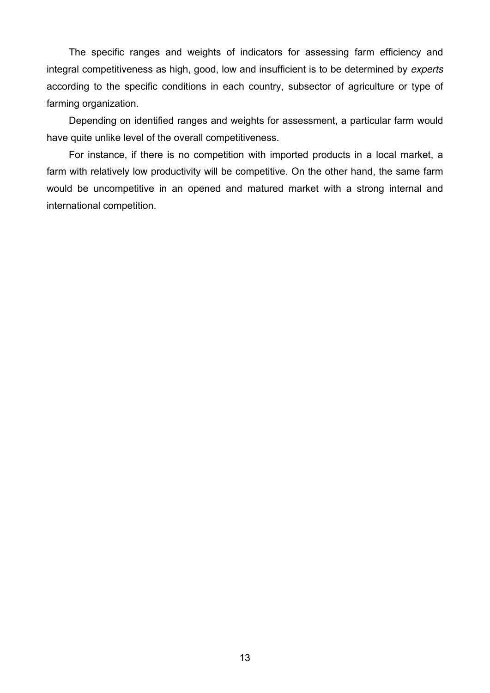The specific ranges and weights of indicators for assessing farm efficiency and integral competitiveness as high, good, low and insufficient is to be determined by experts according to the specific conditions in each country, subsector of agriculture or type of farming organization.

Depending on identified ranges and weights for assessment, a particular farm would have quite unlike level of the overall competitiveness.

For instance, if there is no competition with imported products in a local market, a farm with relatively low productivity will be competitive. On the other hand, the same farm would be uncompetitive in an opened and matured market with a strong internal and international competition.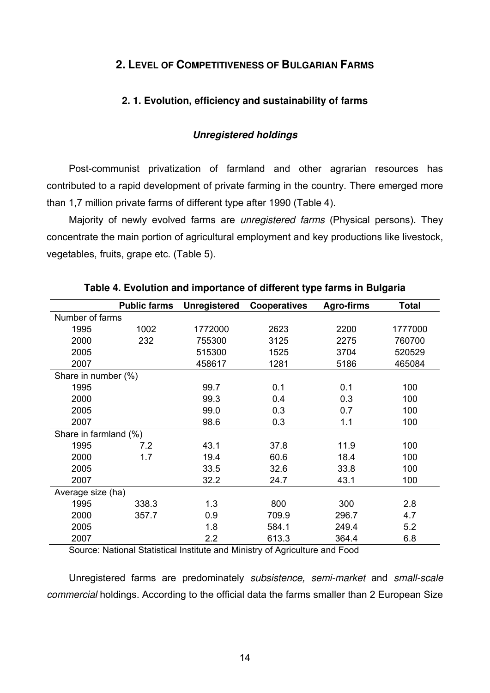#### **2. LEVEL OF COMPETITIVENESS OF BULGARIAN FARMS**

#### **2. 1. Evolution, efficiency and sustainability of farms**

#### **Unregistered holdings**

Post-communist privatization of farmland and other agrarian resources has contributed to a rapid development of private farming in the country. There emerged more than 1,7 million private farms of different type after 1990 (Table 4).

Majority of newly evolved farms are unregistered farms (Physical persons). They concentrate the main portion of agricultural employment and key productions like livestock, vegetables, fruits, grape etc. (Table 5).

|                       | <b>Public farms</b> | <b>Unregistered</b> | <b>Cooperatives</b> | <b>Agro-firms</b> | <b>Total</b> |  |  |  |  |
|-----------------------|---------------------|---------------------|---------------------|-------------------|--------------|--|--|--|--|
| Number of farms       |                     |                     |                     |                   |              |  |  |  |  |
| 1995                  | 1002                | 1772000             | 2623                | 2200              | 1777000      |  |  |  |  |
| 2000                  | 232                 | 755300              | 3125                | 2275              | 760700       |  |  |  |  |
| 2005                  |                     | 515300              | 1525                | 3704              | 520529       |  |  |  |  |
| 2007                  |                     | 458617              | 1281                | 5186              | 465084       |  |  |  |  |
| Share in number (%)   |                     |                     |                     |                   |              |  |  |  |  |
| 1995                  |                     | 99.7                | 0.1                 | 0.1               | 100          |  |  |  |  |
| 2000                  |                     | 99.3                | 0.4                 | 0.3               | 100          |  |  |  |  |
| 2005                  |                     | 99.0                | 0.3                 | 0.7               | 100          |  |  |  |  |
| 2007                  |                     | 98.6                | 0.3                 | 1.1               | 100          |  |  |  |  |
| Share in farmland (%) |                     |                     |                     |                   |              |  |  |  |  |
| 1995                  | 7.2                 | 43.1                | 37.8                | 11.9              | 100          |  |  |  |  |
| 2000                  | 1.7                 | 19.4                | 60.6                | 18.4              | 100          |  |  |  |  |
| 2005                  |                     | 33.5                | 32.6                | 33.8              | 100          |  |  |  |  |
| 2007                  |                     | 32.2                | 24.7                | 43.1              | 100          |  |  |  |  |
| Average size (ha)     |                     |                     |                     |                   |              |  |  |  |  |
| 1995                  | 338.3               | 1.3                 | 800                 | 300               | 2.8          |  |  |  |  |
| 2000                  | 357.7               | 0.9                 | 709.9               | 296.7             | 4.7          |  |  |  |  |
| 2005                  |                     | 1.8                 | 584.1               | 249.4             | 5.2          |  |  |  |  |
| 2007                  |                     | 2.2                 | 613.3               | 364.4             | 6.8          |  |  |  |  |

#### **Table 4. Evolution and importance of different type farms in Bulgaria**

Source: National Statistical Institute and Ministry of Agriculture and Food

Unregistered farms are predominately subsistence, semi-market and small-scale commercial holdings. According to the official data the farms smaller than 2 European Size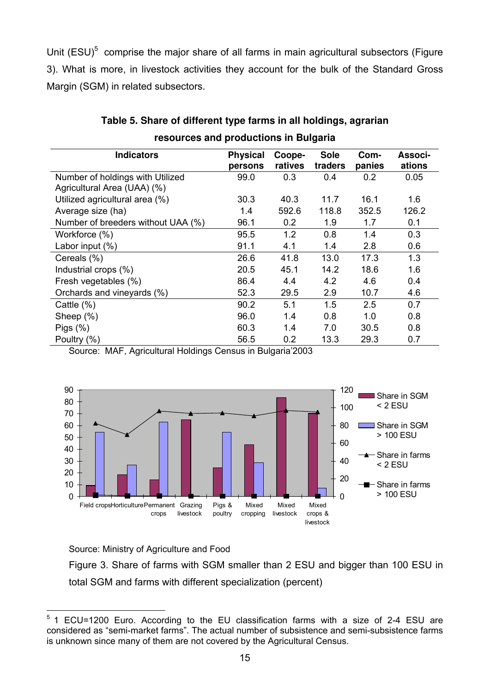Unit (ESU) $<sup>5</sup>$  comprise the major share of all farms in main agricultural subsectors (Figure</sup> 3). What is more, in livestock activities they account for the bulk of the Standard Gross Margin (SGM) in related subsectors.

| <b>Indicators</b>                  | <b>Physical</b><br>persons | Coope-<br>ratives | <b>Sole</b><br>traders | Com-<br>panies | Associ-<br>ations |
|------------------------------------|----------------------------|-------------------|------------------------|----------------|-------------------|
| Number of holdings with Utilized   | 99.0                       | 0.3               | 0.4                    | 0.2            | 0.05              |
| Agricultural Area (UAA) (%)        |                            |                   |                        |                |                   |
| Utilized agricultural area (%)     | 30.3                       | 40.3              | 11.7                   | 16.1           | 1.6               |
| Average size (ha)                  | 1.4                        | 592.6             | 118.8                  | 352.5          | 126.2             |
| Number of breeders without UAA (%) | 96.1                       | 0.2               | 1.9                    | 1.7            | 0.1               |
| Workforce (%)                      | 95.5                       | 1.2               | 0.8                    | 1.4            | 0.3               |
| Labor input $(\%)$                 | 91.1                       | 4.1               | 1.4                    | 2.8            | 0.6               |
| Cereals (%)                        | 26.6                       | 41.8              | 13.0                   | 17.3           | 1.3               |
| Industrial crops (%)               | 20.5                       | 45.1              | 14.2                   | 18.6           | 1.6               |
| Fresh vegetables (%)               | 86.4                       | 4.4               | 4.2                    | 4.6            | 0.4               |
| Orchards and vineyards (%)         | 52.3                       | 29.5              | 2.9                    | 10.7           | 4.6               |
| Cattle $(\%)$                      | 90.2                       | 5.1               | 1.5                    | 2.5            | 0.7               |
| Sheep $(\%)$                       | 96.0                       | 1.4               | 0.8                    | 1.0            | 0.8               |
| Pigs $(\%)$                        | 60.3                       | 1.4               | 7.0                    | 30.5           | 0.8               |
| Poultry (%)                        | 56.5                       | 0.2               | 13.3                   | 29.3           | 0.7               |

**Table 5. Share of different type farms in all holdings, agrarian resources and productions in Bulgaria** 

Source: MAF, Agricultural Holdings Census in Bulgaria'2003



Source: Ministry of Agriculture and Food

 $\overline{a}$ 

Figure 3. Share of farms with SGM smaller than 2 ESU and bigger than 100 ESU in total SGM and farms with different specialization (percent)

<sup>&</sup>lt;sup>5</sup> 1 ECU=1200 Euro. According to the EU classification farms with a size of 2-4 ESU are considered as "semi-market farms". The actual number of subsistence and semi-subsistence farms is unknown since many of them are not covered by the Agricultural Census.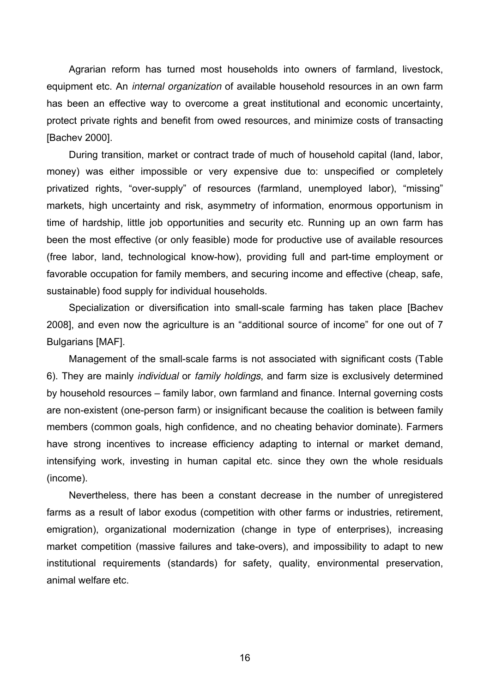Agrarian reform has turned most households into owners of farmland, livestock, equipment etc. An internal organization of available household resources in an own farm has been an effective way to overcome a great institutional and economic uncertainty, protect private rights and benefit from owed resources, and minimize costs of transacting [Bachev 2000].

During transition, market or contract trade of much of household capital (land, labor, money) was either impossible or very expensive due to: unspecified or completely privatized rights, "over-supply" of resources (farmland, unemployed labor), "missing" markets, high uncertainty and risk, asymmetry of information, enormous opportunism in time of hardship, little job opportunities and security etc. Running up an own farm has been the most effective (or only feasible) mode for productive use of available resources (free labor, land, technological know-how), providing full and part-time employment or favorable occupation for family members, and securing income and effective (cheap, safe, sustainable) food supply for individual households.

Specialization or diversification into small-scale farming has taken place [Bachev 2008], and even now the agriculture is an "additional source of income" for one out of 7 Bulgarians [MAF].

Management of the small-scale farms is not associated with significant costs (Table 6). They are mainly individual or family holdings, and farm size is exclusively determined by household resources – family labor, own farmland and finance. Internal governing costs are non-existent (one-person farm) or insignificant because the coalition is between family members (common goals, high confidence, and no cheating behavior dominate). Farmers have strong incentives to increase efficiency adapting to internal or market demand, intensifying work, investing in human capital etc. since they own the whole residuals (income).

Nevertheless, there has been a constant decrease in the number of unregistered farms as a result of labor exodus (competition with other farms or industries, retirement, emigration), organizational modernization (change in type of enterprises), increasing market competition (massive failures and take-overs), and impossibility to adapt to new institutional requirements (standards) for safety, quality, environmental preservation, animal welfare etc.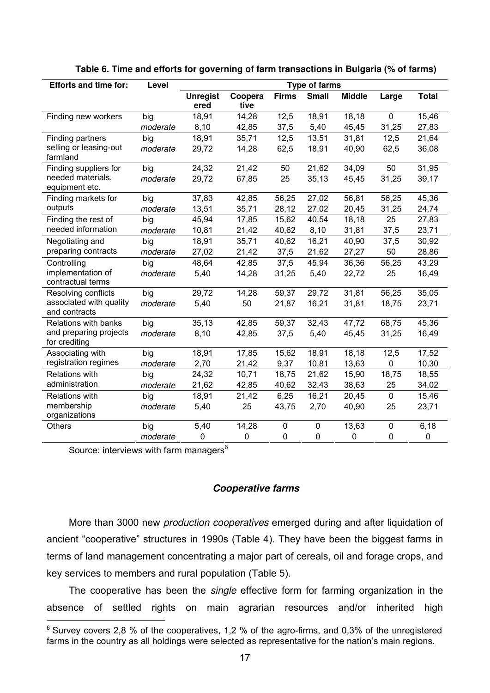| <b>Efforts and time for:</b>             | Level    |                         |                 |              |              |               |             |              |
|------------------------------------------|----------|-------------------------|-----------------|--------------|--------------|---------------|-------------|--------------|
|                                          |          | <b>Unregist</b><br>ered | Coopera<br>tive | <b>Firms</b> | <b>Small</b> | <b>Middle</b> | Large       | <b>Total</b> |
| Finding new workers                      | big      | 18,91                   | 14,28           | 12,5         | 18,91        | 18,18         | $\mathbf 0$ | 15,46        |
|                                          | moderate | 8,10                    | 42,85           | 37,5         | 5,40         | 45,45         | 31,25       | 27,83        |
| Finding partners                         | big      | 18,91                   | 35,71           | 12,5         | 13,51        | 31,81         | 12,5        | 21,64        |
| selling or leasing-out<br>farmland       | moderate | 29,72                   | 14,28           | 62,5         | 18,91        | 40,90         | 62,5        | 36,08        |
| Finding suppliers for                    | big      | 24,32                   | 21,42           | 50           | 21,62        | 34,09         | 50          | 31,95        |
| needed materials,<br>equipment etc.      | moderate | 29,72                   | 67,85           | 25           | 35,13        | 45,45         | 31,25       | 39,17        |
| Finding markets for                      | big      | 37,83                   | 42,85           | 56,25        | 27,02        | 56,81         | 56,25       | 45,36        |
| outputs                                  | moderate | 13,51                   | 35,71           | 28,12        | 27,02        | 20,45         | 31,25       | 24,74        |
| Finding the rest of                      | big      | 45,94                   | 17,85           | 15,62        | 40,54        | 18,18         | 25          | 27,83        |
| needed information                       | moderate | 10,81                   | 21,42           | 40,62        | 8,10         | 31,81         | 37,5        | 23,71        |
| Negotiating and                          | big      | 18,91                   | 35,71           | 40,62        | 16,21        | 40,90         | 37,5        | 30,92        |
| preparing contracts                      | moderate | 27,02                   | 21,42           | 37,5         | 21,62        | 27,27         | 50          | 28,86        |
| Controlling                              | big      | 48,64                   | 42,85           | 37,5         | 45,94        | 36,36         | 56,25       | 43,29        |
| implementation of<br>contractual terms   | moderate | 5,40                    | 14,28           | 31,25        | 5,40         | 22,72         | 25          | 16,49        |
| Resolving conflicts                      | big      | 29,72                   | 14,28           | 59,37        | 29,72        | 31,81         | 56,25       | 35,05        |
| associated with quality<br>and contracts | moderate | 5,40                    | 50              | 21,87        | 16,21        | 31,81         | 18,75       | 23,71        |
| Relations with banks                     | big      | 35,13                   | 42,85           | 59,37        | 32,43        | 47,72         | 68,75       | 45,36        |
| and preparing projects<br>for crediting  | moderate | 8,10                    | 42,85           | 37,5         | 5,40         | 45,45         | 31,25       | 16,49        |
| Associating with                         | big      | 18,91                   | 17,85           | 15,62        | 18,91        | 18,18         | 12,5        | 17,52        |
| registration regimes                     | moderate | 2,70                    | 21,42           | 9,37         | 10,81        | 13,63         | 0           | 10,30        |
| Relations with                           | big      | 24,32                   | 10,71           | 18,75        | 21,62        | 15,90         | 18,75       | 18,55        |
| administration                           | moderate | 21,62                   | 42,85           | 40,62        | 32,43        | 38,63         | 25          | 34,02        |
| Relations with                           | big      | 18,91                   | 21,42           | 6,25         | 16,21        | 20,45         | $\mathbf 0$ | 15,46        |
| membership<br>organizations              | moderate | 5,40                    | 25              | 43,75        | 2,70         | 40,90         | 25          | 23,71        |
| <b>Others</b>                            | big      | 5,40                    | 14,28           | $\mathbf 0$  | 0            | 13,63         | 0           | 6,18         |
|                                          | moderate | $\mathbf 0$             | $\pmb{0}$       | $\pmb{0}$    | 0            | $\pmb{0}$     | $\pmb{0}$   | 0            |

**Table 6. Time and efforts for governing of farm transactions in Bulgaria (% of farms)** 

Source: interviews with farm managers $6$ 

#### **Cooperative farms**

More than 3000 new production cooperatives emerged during and after liquidation of ancient "cooperative" structures in 1990s (Table 4). They have been the biggest farms in terms of land management concentrating a major part of cereals, oil and forage crops, and key services to members and rural population (Table 5).

The cooperative has been the *single* effective form for farming organization in the absence of settled rights on main agrarian resources and/or inherited high  $\overline{a}$ 

 $6$  Survey covers 2,8 % of the cooperatives, 1,2 % of the agro-firms, and 0,3% of the unregistered farms in the country as all holdings were selected as representative for the nation's main regions.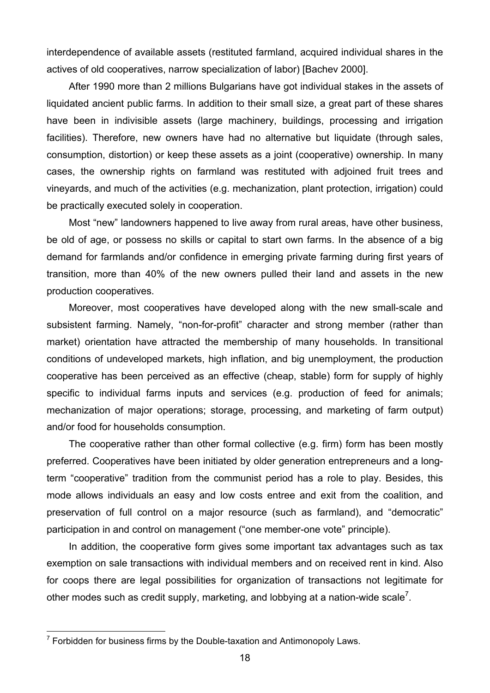interdependence of available assets (restituted farmland, acquired individual shares in the actives of old cooperatives, narrow specialization of labor) [Bachev 2000].

After 1990 more than 2 millions Bulgarians have got individual stakes in the assets of liquidated ancient public farms. In addition to their small size, a great part of these shares have been in indivisible assets (large machinery, buildings, processing and irrigation facilities). Therefore, new owners have had no alternative but liquidate (through sales, consumption, distortion) or keep these assets as a joint (cooperative) ownership. In many cases, the ownership rights on farmland was restituted with adjoined fruit trees and vineyards, and much of the activities (e.g. mechanization, plant protection, irrigation) could be practically executed solely in cooperation.

Most "new" landowners happened to live away from rural areas, have other business, be old of age, or possess no skills or capital to start own farms. In the absence of a big demand for farmlands and/or confidence in emerging private farming during first years of transition, more than 40% of the new owners pulled their land and assets in the new production cooperatives.

Moreover, most cooperatives have developed along with the new small-scale and subsistent farming. Namely, "non-for-profit" character and strong member (rather than market) orientation have attracted the membership of many households. In transitional conditions of undeveloped markets, high inflation, and big unemployment, the production cooperative has been perceived as an effective (cheap, stable) form for supply of highly specific to individual farms inputs and services (e.g. production of feed for animals; mechanization of major operations; storage, processing, and marketing of farm output) and/or food for households consumption.

The cooperative rather than other formal collective (e.g. firm) form has been mostly preferred. Cooperatives have been initiated by older generation entrepreneurs and a longterm "cooperative" tradition from the communist period has a role to play. Besides, this mode allows individuals an easy and low costs entree and exit from the coalition, and preservation of full control on a major resource (such as farmland), and "democratic" participation in and control on management ("one member-one vote" principle).

In addition, the cooperative form gives some important tax advantages such as tax exemption on sale transactions with individual members and on received rent in kind. Also for coops there are legal possibilities for organization of transactions not legitimate for other modes such as credit supply, marketing, and lobbying at a nation-wide scale<sup>7</sup>.

 $\overline{a}$ 

 $7$  Forbidden for business firms by the Double-taxation and Antimonopoly Laws.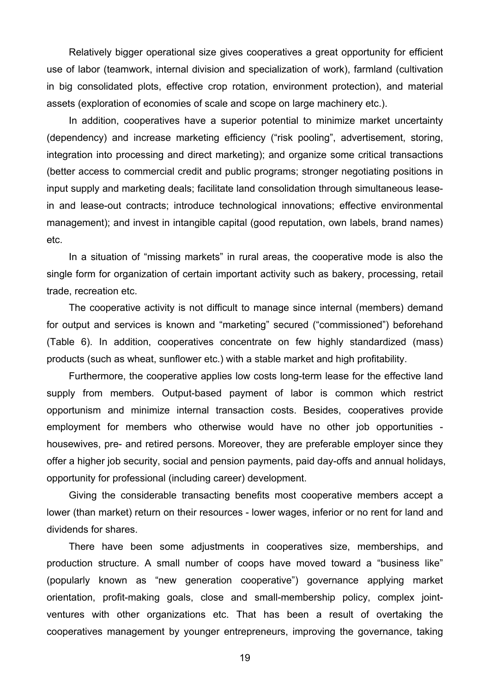Relatively bigger operational size gives cooperatives a great opportunity for efficient use of labor (teamwork, internal division and specialization of work), farmland (cultivation in big consolidated plots, effective crop rotation, environment protection), and material assets (exploration of economies of scale and scope on large machinery etc.).

In addition, cooperatives have a superior potential to minimize market uncertainty (dependency) and increase marketing efficiency ("risk pooling", advertisement, storing, integration into processing and direct marketing); and organize some critical transactions (better access to commercial credit and public programs; stronger negotiating positions in input supply and marketing deals; facilitate land consolidation through simultaneous leasein and lease-out contracts; introduce technological innovations; effective environmental management); and invest in intangible capital (good reputation, own labels, brand names) etc.

In a situation of "missing markets" in rural areas, the cooperative mode is also the single form for organization of certain important activity such as bakery, processing, retail trade, recreation etc.

The cooperative activity is not difficult to manage since internal (members) demand for output and services is known and "marketing" secured ("commissioned") beforehand (Table 6). In addition, cooperatives concentrate on few highly standardized (mass) products (such as wheat, sunflower etc.) with a stable market and high profitability.

Furthermore, the cooperative applies low costs long-term lease for the effective land supply from members. Output-based payment of labor is common which restrict opportunism and minimize internal transaction costs. Besides, cooperatives provide employment for members who otherwise would have no other job opportunities housewives, pre- and retired persons. Moreover, they are preferable employer since they offer a higher job security, social and pension payments, paid day-offs and annual holidays, opportunity for professional (including career) development.

Giving the considerable transacting benefits most cooperative members accept a lower (than market) return on their resources - lower wages, inferior or no rent for land and dividends for shares.

There have been some adjustments in cooperatives size, memberships, and production structure. A small number of coops have moved toward a "business like" (popularly known as "new generation cooperative") governance applying market orientation, profit-making goals, close and small-membership policy, complex jointventures with other organizations etc. That has been a result of overtaking the cooperatives management by younger entrepreneurs, improving the governance, taking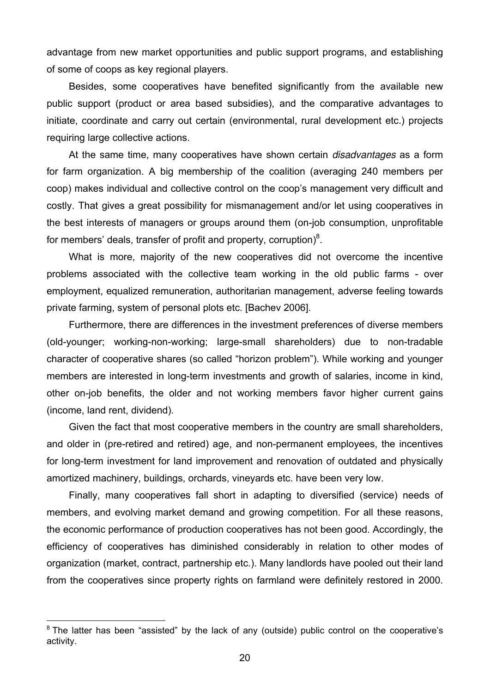advantage from new market opportunities and public support programs, and establishing of some of coops as key regional players.

Besides, some cooperatives have benefited significantly from the available new public support (product or area based subsidies), and the comparative advantages to initiate, coordinate and carry out certain (environmental, rural development etc.) projects requiring large collective actions.

At the same time, many cooperatives have shown certain *disadvantages* as a form for farm organization. A big membership of the coalition (averaging 240 members per coop) makes individual and collective control on the coop's management very difficult and costly. That gives a great possibility for mismanagement and/or let using cooperatives in the best interests of managers or groups around them (on-job consumption, unprofitable for members' deals, transfer of profit and property, corruption) $8$ .

What is more, majority of the new cooperatives did not overcome the incentive problems associated with the collective team working in the old public farms - over employment, equalized remuneration, authoritarian management, adverse feeling towards private farming, system of personal plots etc. [Bachev 2006].

Furthermore, there are differences in the investment preferences of diverse members (old-younger; working-non-working; large-small shareholders) due to non-tradable character of cooperative shares (so called "horizon problem"). While working and younger members are interested in long-term investments and growth of salaries, income in kind, other on-job benefits, the older and not working members favor higher current gains (income, land rent, dividend).

Given the fact that most cooperative members in the country are small shareholders, and older in (pre-retired and retired) age, and non-permanent employees, the incentives for long-term investment for land improvement and renovation of outdated and physically amortized machinery, buildings, orchards, vineyards etc. have been very low.

Finally, many cooperatives fall short in adapting to diversified (service) needs of members, and evolving market demand and growing competition. For all these reasons, the economic performance of production cooperatives has not been good. Accordingly, the efficiency of cooperatives has diminished considerably in relation to other modes of organization (market, contract, partnership etc.). Many landlords have pooled out their land from the cooperatives since property rights on farmland were definitely restored in 2000.

 $\overline{a}$ 

<sup>&</sup>lt;sup>8</sup> The latter has been "assisted" by the lack of any (outside) public control on the cooperative's activity.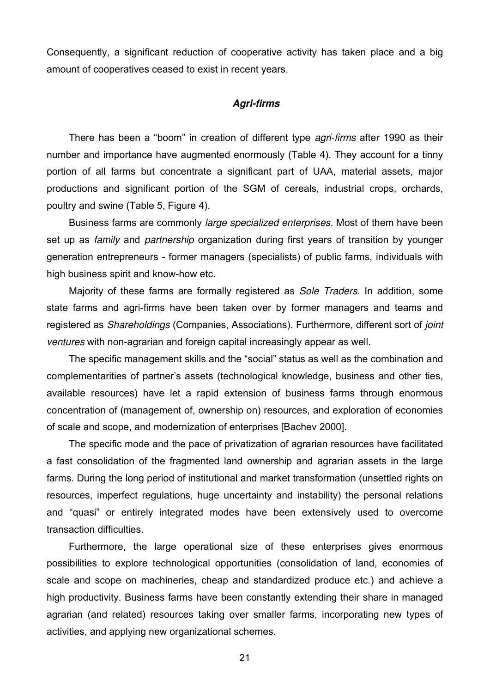Consequently, a significant reduction of cooperative activity has taken place and a big amount of cooperatives ceased to exist in recent years.

#### **Agri-firms**

There has been a "boom" in creation of different type *agri-firms* after 1990 as their number and importance have augmented enormously (Table 4). They account for a tinny portion of all farms but concentrate a significant part of UAA, material assets, major productions and significant portion of the SGM of cereals, industrial crops, orchards, poultry and swine (Table 5, Figure 4).

Business farms are commonly large specialized enterprises. Most of them have been set up as *family* and *partnership* organization during first years of transition by younger generation entrepreneurs - former managers (specialists) of public farms, individuals with high business spirit and know-how etc.

Majority of these farms are formally registered as Sole Traders. In addition, some state farms and agri-firms have been taken over by former managers and teams and registered as Shareholdings (Companies, Associations). Furthermore, different sort of joint ventures with non-agrarian and foreign capital increasingly appear as well.

The specific management skills and the "social" status as well as the combination and complementarities of partner's assets (technological knowledge, business and other ties, available resources) have let a rapid extension of business farms through enormous concentration of (management of, ownership on) resources, and exploration of economies of scale and scope, and modernization of enterprises [Bachev 2000].

The specific mode and the pace of privatization of agrarian resources have facilitated a fast consolidation of the fragmented land ownership and agrarian assets in the large farms. During the long period of institutional and market transformation (unsettled rights on resources, imperfect regulations, huge uncertainty and instability) the personal relations and "quasi" or entirely integrated modes have been extensively used to overcome transaction difficulties.

Furthermore, the large operational size of these enterprises gives enormous possibilities to explore technological opportunities (consolidation of land, economies of scale and scope on machineries, cheap and standardized produce etc.) and achieve a high productivity. Business farms have been constantly extending their share in managed agrarian (and related) resources taking over smaller farms, incorporating new types of activities, and applying new organizational schemes.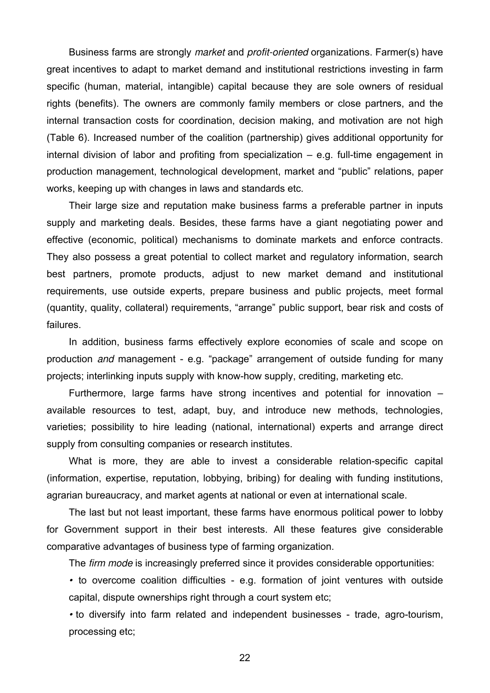Business farms are strongly market and profit-oriented organizations. Farmer(s) have great incentives to adapt to market demand and institutional restrictions investing in farm specific (human, material, intangible) capital because they are sole owners of residual rights (benefits). The owners are commonly family members or close partners, and the internal transaction costs for coordination, decision making, and motivation are not high (Table 6). Increased number of the coalition (partnership) gives additional opportunity for internal division of labor and profiting from specialization – e.g. full-time engagement in production management, technological development, market and "public" relations, paper works, keeping up with changes in laws and standards etc.

Their large size and reputation make business farms a preferable partner in inputs supply and marketing deals. Besides, these farms have a giant negotiating power and effective (economic, political) mechanisms to dominate markets and enforce contracts. They also possess a great potential to collect market and regulatory information, search best partners, promote products, adjust to new market demand and institutional requirements, use outside experts, prepare business and public projects, meet formal (quantity, quality, collateral) requirements, "arrange" public support, bear risk and costs of failures.

In addition, business farms effectively explore economies of scale and scope on production and management - e.g. "package" arrangement of outside funding for many projects; interlinking inputs supply with know-how supply, crediting, marketing etc.

Furthermore, large farms have strong incentives and potential for innovation – available resources to test, adapt, buy, and introduce new methods, technologies, varieties; possibility to hire leading (national, international) experts and arrange direct supply from consulting companies or research institutes.

What is more, they are able to invest a considerable relation-specific capital (information, expertise, reputation, lobbying, bribing) for dealing with funding institutions, agrarian bureaucracy, and market agents at national or even at international scale.

The last but not least important, these farms have enormous political power to lobby for Government support in their best interests. All these features give considerable comparative advantages of business type of farming organization.

The firm mode is increasingly preferred since it provides considerable opportunities:

• to overcome coalition difficulties - e.g. formation of joint ventures with outside capital, dispute ownerships right through a court system etc;

• to diversify into farm related and independent businesses - trade, agro-tourism, processing etc;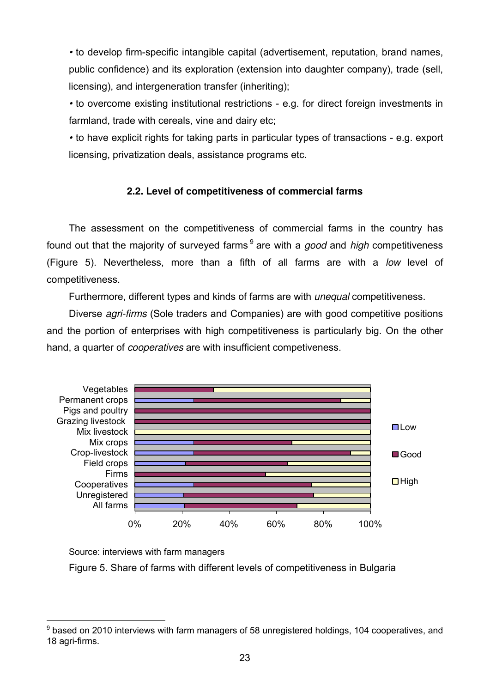• to develop firm-specific intangible capital (advertisement, reputation, brand names, public confidence) and its exploration (extension into daughter company), trade (sell, licensing), and intergeneration transfer (inheriting);

• to overcome existing institutional restrictions - e.g. for direct foreign investments in farmland, trade with cereals, vine and dairy etc;

• to have explicit rights for taking parts in particular types of transactions - e.g. export licensing, privatization deals, assistance programs etc.

### **2.2. Level of competitiveness of commercial farms**

The assessment on the competitiveness of commercial farms in the country has found out that the majority of surveyed farms  $9$  are with a good and high competitiveness (Figure 5). Nevertheless, more than a fifth of all farms are with a low level of competitiveness.

Furthermore, different types and kinds of farms are with *unequal* competitiveness.

Diverse agri-firms (Sole traders and Companies) are with good competitive positions and the portion of enterprises with high competitiveness is particularly big. On the other hand, a quarter of *cooperatives* are with insufficient competiveness.



Source: interviews with farm managers

 $\overline{a}$ 

Figure 5. Share of farms with different levels of competitiveness in Bulgaria

 $9$  based on 2010 interviews with farm managers of 58 unregistered holdings, 104 cooperatives, and 18 agri-firms.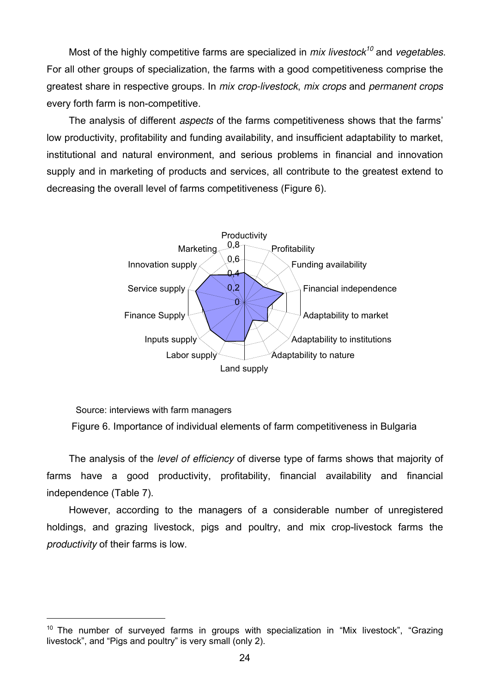Most of the highly competitive farms are specialized in *mix livestock*<sup>10</sup> and *vegetables.* For all other groups of specialization, the farms with a good competitiveness comprise the greatest share in respective groups. In mix crop-livestock, mix crops and permanent crops every forth farm is non-competitive.

The analysis of different *aspects* of the farms competitiveness shows that the farms' low productivity, profitability and funding availability, and insufficient adaptability to market, institutional and natural environment, and serious problems in financial and innovation supply and in marketing of products and services, all contribute to the greatest extend to decreasing the overall level of farms competitiveness (Figure 6).



Source: interviews with farm managers Figure 6. Importance of individual elements of farm competitiveness in Bulgaria

The analysis of the *level of efficiency* of diverse type of farms shows that majority of farms have a good productivity, profitability, financial availability and financial independence (Table 7).

However, according to the managers of a considerable number of unregistered holdings, and grazing livestock, pigs and poultry, and mix crop-livestock farms the productivity of their farms is low.

 $\overline{a}$ 

 $10$  The number of surveyed farms in groups with specialization in "Mix livestock", "Grazing livestock", and "Pigs and poultry" is very small (only 2).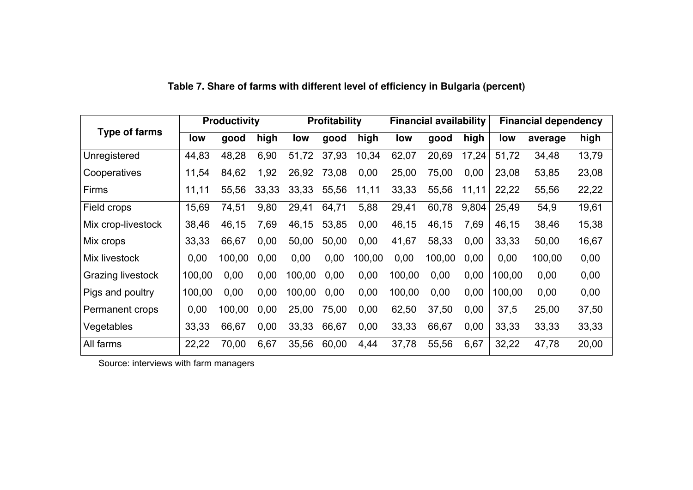|                          |        | <b>Productivity</b> |       | <b>Profitability</b> |       |        |        | <b>Financial availability</b> |       | <b>Financial dependency</b> |         |       |
|--------------------------|--------|---------------------|-------|----------------------|-------|--------|--------|-------------------------------|-------|-----------------------------|---------|-------|
| Type of farms            | low    | good                | high  | low                  | good  | high   | low    | good                          | high  | low                         | average | high  |
| Unregistered             | 44,83  | 48,28               | 6,90  | 51,72                | 37,93 | 10,34  | 62,07  | 20,69                         | 17,24 | 51,72                       | 34,48   | 13,79 |
| Cooperatives             | 11,54  | 84,62               | 1,92  | 26,92                | 73,08 | 0,00   | 25,00  | 75,00                         | 0,00  | 23,08                       | 53,85   | 23,08 |
| Firms                    | 11,11  | 55,56               | 33,33 | 33,33                | 55,56 | 11,11  | 33,33  | 55,56                         | 11,11 | 22,22                       | 55,56   | 22,22 |
| Field crops              | 15,69  | 74,51               | 9,80  | 29,41                | 64,71 | 5,88   | 29,41  | 60,78                         | 9,804 | 25,49                       | 54,9    | 19,61 |
| Mix crop-livestock       | 38,46  | 46,15               | 7,69  | 46,15                | 53,85 | 0,00   | 46,15  | 46,15                         | 7,69  | 46,15                       | 38,46   | 15,38 |
| Mix crops                | 33,33  | 66,67               | 0,00  | 50,00                | 50,00 | 0,00   | 41,67  | 58,33                         | 0,00  | 33,33                       | 50,00   | 16,67 |
| Mix livestock            | 0,00   | 100,00              | 0,00  | 0,00                 | 0,00  | 100,00 | 0,00   | 100,00                        | 0,00  | 0,00                        | 100,00  | 0,00  |
| <b>Grazing livestock</b> | 100,00 | 0,00                | 0,00  | 100,00               | 0,00  | 0,00   | 100,00 | 0,00                          | 0,00  | 100,00                      | 0,00    | 0,00  |
| Pigs and poultry         | 100,00 | 0,00                | 0,00  | 100,00               | 0,00  | 0,00   | 100,00 | 0,00                          | 0,00  | 100,00                      | 0,00    | 0,00  |
| Permanent crops          | 0,00   | 100,00              | 0,00  | 25,00                | 75,00 | 0,00   | 62,50  | 37,50                         | 0,00  | 37,5                        | 25,00   | 37,50 |
| Vegetables               | 33,33  | 66,67               | 0,00  | 33,33                | 66,67 | 0,00   | 33,33  | 66,67                         | 0,00  | 33,33                       | 33,33   | 33,33 |
| <b>All farms</b>         | 22,22  | 70,00               | 6,67  | 35,56                | 60,00 | 4,44   | 37,78  | 55,56                         | 6,67  | 32,22                       | 47,78   | 20,00 |

# **Table 7. Share of farms with different level of efficiency in Bulgaria (percent)**

Source: interviews with farm managers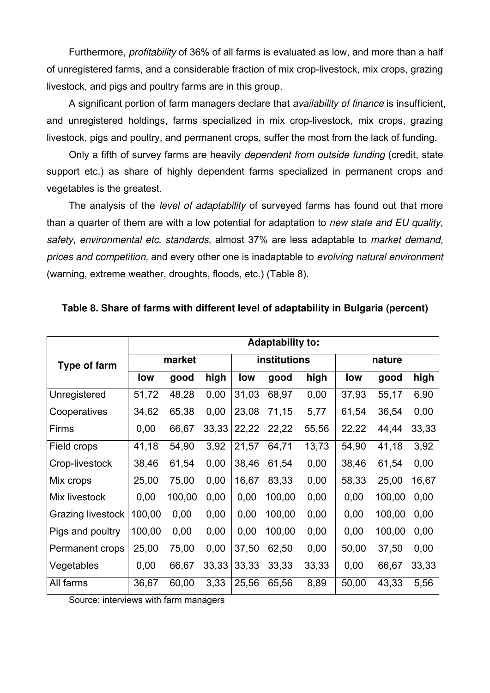Furthermore, profitability of 36% of all farms is evaluated as low, and more than a half of unregistered farms, and a considerable fraction of mix crop-livestock, mix crops, grazing livestock, and pigs and poultry farms are in this group.

A significant portion of farm managers declare that *availability of finance* is insufficient, and unregistered holdings, farms specialized in mix crop-livestock, mix crops, grazing livestock, pigs and poultry, and permanent crops, suffer the most from the lack of funding.

Only a fifth of survey farms are heavily dependent from outside funding (credit, state support etc.) as share of highly dependent farms specialized in permanent crops and vegetables is the greatest.

The analysis of the *level of adaptability* of surveyed farms has found out that more than a quarter of them are with a low potential for adaptation to new state and EU quality, safety, environmental etc. standards, almost 37% are less adaptable to market demand, prices and competition, and every other one is inadaptable to evolving natural environment (warning, extreme weather, droughts, floods, etc.) (Table 8).

|                          | <b>Adaptability to:</b> |        |       |       |              |       |        |        |       |  |  |  |  |
|--------------------------|-------------------------|--------|-------|-------|--------------|-------|--------|--------|-------|--|--|--|--|
| Type of farm             |                         | market |       |       | institutions |       | nature |        |       |  |  |  |  |
|                          | low                     | good   | high  | low   | good         | high  | low    | good   | high  |  |  |  |  |
| Unregistered             | 51,72                   | 48,28  | 0,00  | 31,03 | 68,97        | 0,00  | 37,93  | 55,17  | 6,90  |  |  |  |  |
| Cooperatives             | 34,62                   | 65,38  | 0,00  | 23,08 | 71,15        | 5,77  | 61,54  | 36,54  | 0,00  |  |  |  |  |
| <b>Firms</b>             | 0,00                    | 66,67  | 33,33 | 22,22 | 22,22        | 55,56 | 22,22  | 44,44  | 33,33 |  |  |  |  |
| Field crops              | 41,18                   | 54,90  | 3,92  | 21,57 | 64,71        | 13,73 | 54,90  | 41,18  | 3,92  |  |  |  |  |
| Crop-livestock           | 38,46                   | 61,54  | 0,00  | 38,46 | 61,54        | 0,00  | 38,46  | 61,54  | 0,00  |  |  |  |  |
| Mix crops                | 25,00                   | 75,00  | 0,00  | 16,67 | 83,33        | 0,00  | 58,33  | 25,00  | 16,67 |  |  |  |  |
| Mix livestock            | 0,00                    | 100,00 | 0,00  | 0,00  | 100,00       | 0,00  | 0,00   | 100,00 | 0,00  |  |  |  |  |
| <b>Grazing livestock</b> | 100,00                  | 0,00   | 0,00  | 0,00  | 100,00       | 0,00  | 0,00   | 100,00 | 0,00  |  |  |  |  |
| Pigs and poultry         | 100,00                  | 0,00   | 0,00  | 0,00  | 100,00       | 0,00  | 0,00   | 100,00 | 0,00  |  |  |  |  |
| Permanent crops          | 25,00                   | 75,00  | 0,00  | 37,50 | 62,50        | 0,00  | 50,00  | 37,50  | 0,00  |  |  |  |  |
| Vegetables               | 0,00                    | 66,67  | 33,33 | 33,33 | 33,33        | 33,33 | 0,00   | 66,67  | 33,33 |  |  |  |  |
| All farms                | 36,67                   | 60,00  | 3,33  | 25,56 | 65,56        | 8,89  | 50,00  | 43,33  | 5,56  |  |  |  |  |

#### **Table 8. Share of farms with different level of adaptability in Bulgaria (percent)**

Source: interviews with farm managers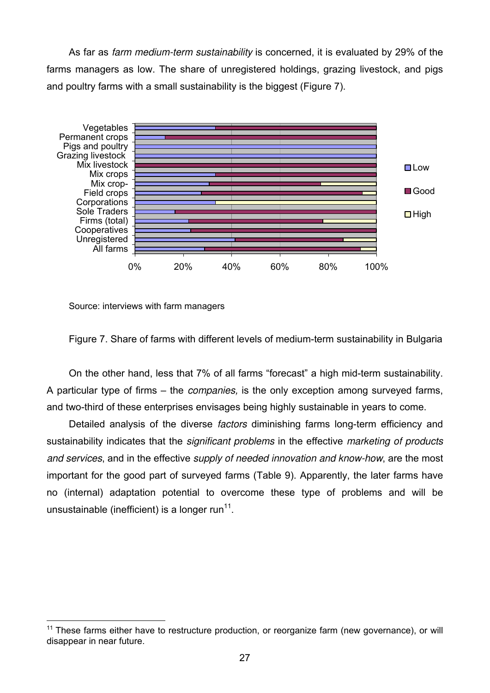As far as farm medium-term sustainability is concerned, it is evaluated by 29% of the farms managers as low. The share of unregistered holdings, grazing livestock, and pigs and poultry farms with a small sustainability is the biggest (Figure 7).



Source: interviews with farm managers

 $\overline{a}$ 

Figure 7. Share of farms with different levels of medium-term sustainability in Bulgaria

On the other hand, less that 7% of all farms "forecast" a high mid-term sustainability. A particular type of firms – the companies, is the only exception among surveyed farms, and two-third of these enterprises envisages being highly sustainable in years to come.

Detailed analysis of the diverse *factors* diminishing farms long-term efficiency and sustainability indicates that the *significant problems* in the effective *marketing of products* and services, and in the effective supply of needed innovation and know-how, are the most important for the good part of surveyed farms (Table 9). Apparently, the later farms have no (internal) adaptation potential to overcome these type of problems and will be unsustainable (inefficient) is a longer run $^{11}$ .

 $11$  These farms either have to restructure production, or reorganize farm (new governance), or will disappear in near future.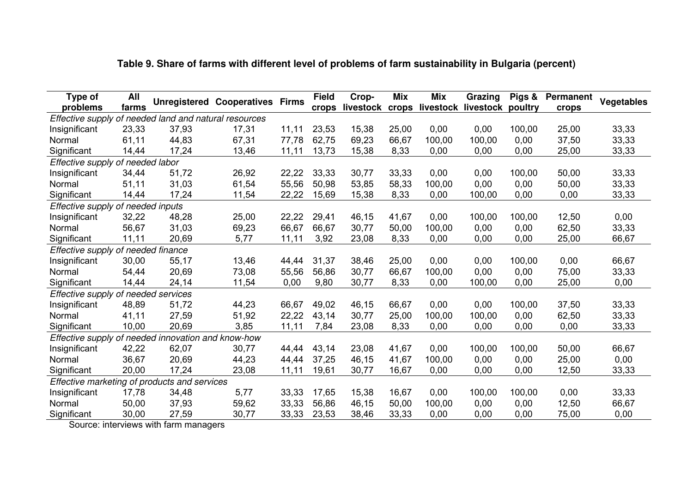| Type of                                               | All   |       | <b>Unregistered Cooperatives</b> | <b>Firms</b> | <b>Field</b> | Crop-           | <b>Mix</b> | <b>Mix</b>                  | Grazing | Pigs & | Permanent | <b>Vegetables</b> |
|-------------------------------------------------------|-------|-------|----------------------------------|--------------|--------------|-----------------|------------|-----------------------------|---------|--------|-----------|-------------------|
| problems                                              | farms |       |                                  |              | crops        | livestock crops |            | livestock livestock poultry |         |        | crops     |                   |
| Effective supply of needed land and natural resources |       |       |                                  |              |              |                 |            |                             |         |        |           |                   |
| Insignificant                                         | 23,33 | 37,93 | 17,31                            | 11,11        | 23,53        | 15,38           | 25,00      | 0,00                        | 0,00    | 100,00 | 25,00     | 33,33             |
| Normal                                                | 61,11 | 44,83 | 67,31                            | 77,78        | 62,75        | 69,23           | 66,67      | 100,00                      | 100,00  | 0,00   | 37,50     | 33,33             |
| Significant                                           | 14,44 | 17,24 | 13,46                            | 11,11        | 13,73        | 15,38           | 8,33       | 0,00                        | 0,00    | 0,00   | 25,00     | 33,33             |
| Effective supply of needed labor                      |       |       |                                  |              |              |                 |            |                             |         |        |           |                   |
| Insignificant                                         | 34,44 | 51,72 | 26,92                            | 22,22        | 33,33        | 30,77           | 33,33      | 0,00                        | 0,00    | 100,00 | 50,00     | 33,33             |
| Normal                                                | 51,11 | 31,03 | 61,54                            | 55,56        | 50,98        | 53,85           | 58,33      | 100,00                      | 0.00    | 0.00   | 50,00     | 33,33             |
| Significant                                           | 14,44 | 17,24 | 11,54                            | 22,22        | 15,69        | 15,38           | 8,33       | 0,00                        | 100,00  | 0,00   | 0,00      | 33,33             |
| Effective supply of needed inputs                     |       |       |                                  |              |              |                 |            |                             |         |        |           |                   |
| Insignificant                                         | 32,22 | 48,28 | 25,00                            | 22,22        | 29,41        | 46,15           | 41,67      | 0,00                        | 100,00  | 100,00 | 12,50     | 0,00              |
| Normal                                                | 56,67 | 31,03 | 69,23                            | 66,67        | 66,67        | 30,77           | 50,00      | 100,00                      | 0,00    | 0,00   | 62,50     | 33,33             |
| Significant                                           | 11,11 | 20,69 | 5,77                             | 11,11        | 3,92         | 23,08           | 8,33       | 0,00                        | 0,00    | 0,00   | 25,00     | 66,67             |
| Effective supply of needed finance                    |       |       |                                  |              |              |                 |            |                             |         |        |           |                   |
| Insignificant                                         | 30,00 | 55,17 | 13,46                            | 44,44        | 31,37        | 38,46           | 25,00      | 0,00                        | 0,00    | 100,00 | 0,00      | 66,67             |
| Normal                                                | 54,44 | 20,69 | 73,08                            | 55,56        | 56,86        | 30,77           | 66,67      | 100,00                      | 0.00    | 0,00   | 75,00     | 33,33             |
| Significant                                           | 14,44 | 24,14 | 11,54                            | 0,00         | 9,80         | 30,77           | 8,33       | 0,00                        | 100,00  | 0,00   | 25,00     | 0,00              |
| Effective supply of needed services                   |       |       |                                  |              |              |                 |            |                             |         |        |           |                   |
| Insignificant                                         | 48,89 | 51,72 | 44,23                            | 66,67        | 49,02        | 46,15           | 66,67      | 0,00                        | 0.00    | 100,00 | 37,50     | 33,33             |
| Normal                                                | 41,11 | 27,59 | 51,92                            | 22,22        | 43,14        | 30,77           | 25,00      | 100,00                      | 100,00  | 0.00   | 62,50     | 33,33             |
| Significant                                           | 10,00 | 20,69 | 3,85                             | 11,11        | 7,84         | 23,08           | 8,33       | 0,00                        | 0,00    | 0,00   | 0,00      | 33,33             |
| Effective supply of needed innovation and know-how    |       |       |                                  |              |              |                 |            |                             |         |        |           |                   |
| Insignificant                                         | 42,22 | 62,07 | 30,77                            | 44,44        | 43,14        | 23,08           | 41,67      | 0,00                        | 100,00  | 100,00 | 50,00     | 66,67             |
| Normal                                                | 36,67 | 20,69 | 44,23                            | 44,44        | 37,25        | 46,15           | 41,67      | 100,00                      | 0,00    | 0,00   | 25,00     | 0,00              |
| Significant                                           | 20,00 | 17,24 | 23,08                            | 11,11        | 19,61        | 30,77           | 16,67      | 0,00                        | 0,00    | 0,00   | 12,50     | 33,33             |
| Effective marketing of products and services          |       |       |                                  |              |              |                 |            |                             |         |        |           |                   |
| Insignificant                                         | 17,78 | 34,48 | 5,77                             | 33,33        | 17,65        | 15,38           | 16,67      | 0,00                        | 100,00  | 100,00 | 0,00      | 33,33             |
| Normal                                                | 50,00 | 37,93 | 59,62                            | 33,33        | 56,86        | 46,15           | 50,00      | 100,00                      | 0,00    | 0,00   | 12,50     | 66,67             |
| Significant                                           | 30,00 | 27,59 | 30,77                            | 33,33        | 23,53        | 38,46           | 33,33      | 0,00                        | 0,00    | 0,00   | 75,00     | 0,00              |

# **Table 9. Share of farms with different level of problems of farm sustainability in Bulgaria (percent)**

Source: interviews with farm managers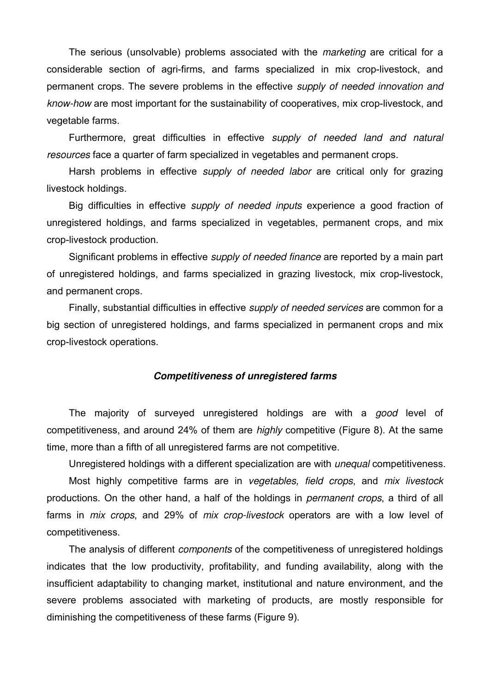The serious (unsolvable) problems associated with the *marketing* are critical for a considerable section of agri-firms, and farms specialized in mix crop-livestock, and permanent crops. The severe problems in the effective supply of needed innovation and know-how are most important for the sustainability of cooperatives, mix crop-livestock, and vegetable farms.

Furthermore, great difficulties in effective supply of needed land and natural resources face a quarter of farm specialized in vegetables and permanent crops.

Harsh problems in effective *supply of needed labor* are critical only for grazing livestock holdings.

Big difficulties in effective supply of needed inputs experience a good fraction of unregistered holdings, and farms specialized in vegetables, permanent crops, and mix crop-livestock production.

Significant problems in effective *supply of needed finance* are reported by a main part of unregistered holdings, and farms specialized in grazing livestock, mix crop-livestock, and permanent crops.

Finally, substantial difficulties in effective supply of needed services are common for a big section of unregistered holdings, and farms specialized in permanent crops and mix crop-livestock operations.

#### **Competitiveness of unregistered farms**

The majority of surveyed unregistered holdings are with a good level of competitiveness, and around 24% of them are highly competitive (Figure 8). At the same time, more than a fifth of all unregistered farms are not competitive.

Unregistered holdings with a different specialization are with unequal competitiveness. Most highly competitive farms are in vegetables, field crops, and mix livestock productions. On the other hand, a half of the holdings in permanent crops, a third of all farms in mix crops, and 29% of mix crop-livestock operators are with a low level of competitiveness.

The analysis of different components of the competitiveness of unregistered holdings indicates that the low productivity, profitability, and funding availability, along with the insufficient adaptability to changing market, institutional and nature environment, and the severe problems associated with marketing of products, are mostly responsible for diminishing the competitiveness of these farms (Figure 9).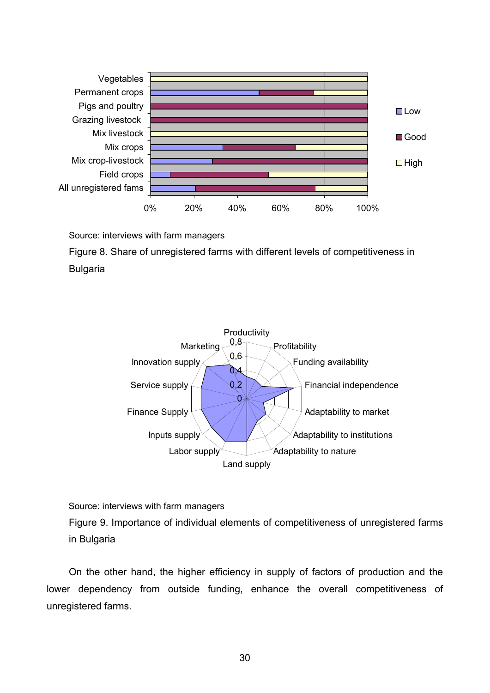

Source: interviews with farm managers

Figure 8. Share of unregistered farms with different levels of competitiveness in Bulgaria



#### Source: interviews with farm managers

Figure 9. Importance of individual elements of competitiveness of unregistered farms in Bulgaria

On the other hand, the higher efficiency in supply of factors of production and the lower dependency from outside funding, enhance the overall competitiveness of unregistered farms.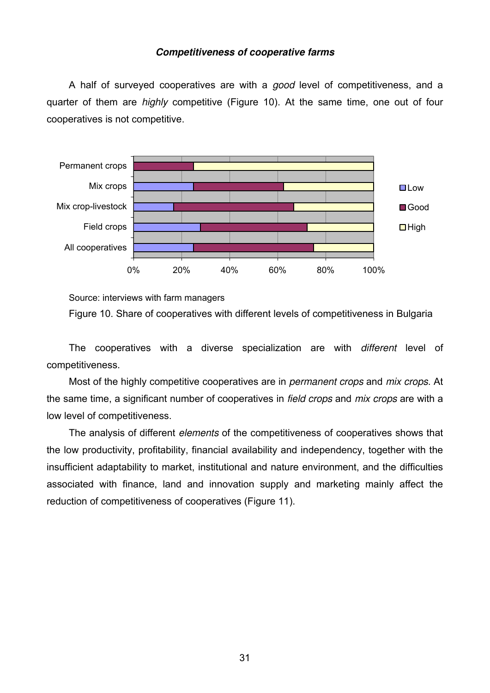#### **Competitiveness of cooperative farms**

A half of surveyed cooperatives are with a good level of competitiveness, and a quarter of them are *highly* competitive (Figure 10). At the same time, one out of four cooperatives is not competitive.



Source: interviews with farm managers

Figure 10. Share of cooperatives with different levels of competitiveness in Bulgaria

The cooperatives with a diverse specialization are with *different* level of competitiveness.

Most of the highly competitive cooperatives are in permanent crops and mix crops. At the same time, a significant number of cooperatives in field crops and mix crops are with a low level of competitiveness.

The analysis of different elements of the competitiveness of cooperatives shows that the low productivity, profitability, financial availability and independency, together with the insufficient adaptability to market, institutional and nature environment, and the difficulties associated with finance, land and innovation supply and marketing mainly affect the reduction of competitiveness of cooperatives (Figure 11).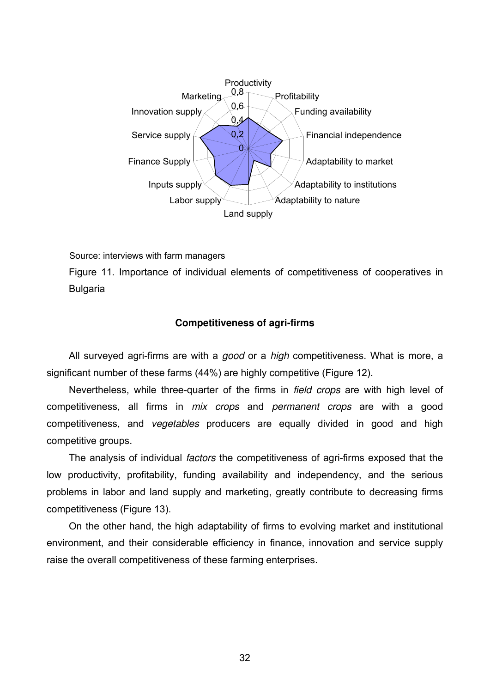

Source: interviews with farm managers

Figure 11. Importance of individual elements of competitiveness of cooperatives in Bulgaria

#### **Competitiveness of agri-firms**

All surveyed agri-firms are with a good or a high competitiveness. What is more, a significant number of these farms (44%) are highly competitive (Figure 12).

Nevertheless, while three-quarter of the firms in field crops are with high level of competitiveness, all firms in mix crops and permanent crops are with a good competitiveness, and vegetables producers are equally divided in good and high competitive groups.

The analysis of individual factors the competitiveness of agri-firms exposed that the low productivity, profitability, funding availability and independency, and the serious problems in labor and land supply and marketing, greatly contribute to decreasing firms competitiveness (Figure 13).

On the other hand, the high adaptability of firms to evolving market and institutional environment, and their considerable efficiency in finance, innovation and service supply raise the overall competitiveness of these farming enterprises.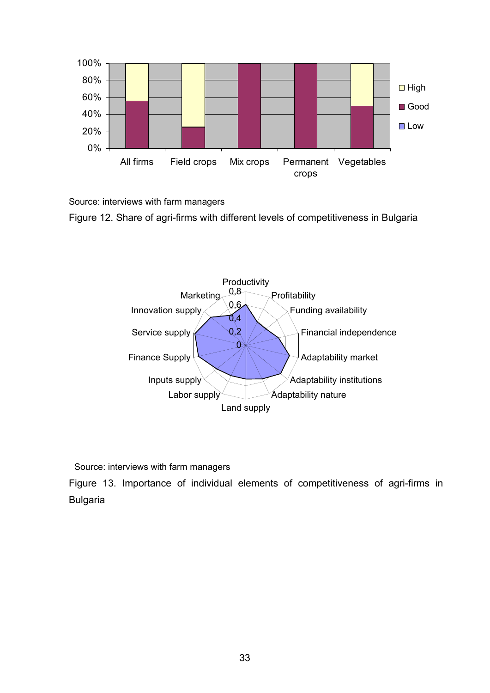

Source: interviews with farm managers

Figure 12. Share of agri-firms with different levels of competitiveness in Bulgaria



Source: interviews with farm managers

Figure 13. Importance of individual elements of competitiveness of agri-firms in Bulgaria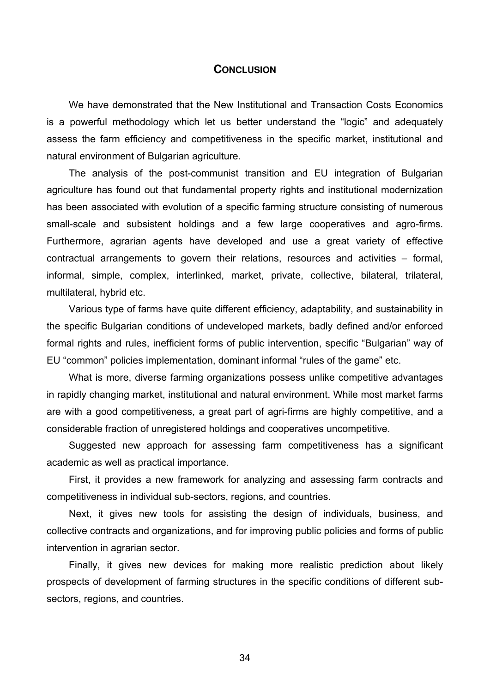#### **CONCLUSION**

We have demonstrated that the New Institutional and Transaction Costs Economics is a powerful methodology which let us better understand the "logic" and adequately assess the farm efficiency and competitiveness in the specific market, institutional and natural environment of Bulgarian agriculture.

The analysis of the post-communist transition and EU integration of Bulgarian agriculture has found out that fundamental property rights and institutional modernization has been associated with evolution of a specific farming structure consisting of numerous small-scale and subsistent holdings and a few large cooperatives and agro-firms. Furthermore, agrarian agents have developed and use a great variety of effective contractual arrangements to govern their relations, resources and activities – formal, informal, simple, complex, interlinked, market, private, collective, bilateral, trilateral, multilateral, hybrid etc.

Various type of farms have quite different efficiency, adaptability, and sustainability in the specific Bulgarian conditions of undeveloped markets, badly defined and/or enforced formal rights and rules, inefficient forms of public intervention, specific "Bulgarian" way of EU "common" policies implementation, dominant informal "rules of the game" etc.

What is more, diverse farming organizations possess unlike competitive advantages in rapidly changing market, institutional and natural environment. While most market farms are with a good competitiveness, a great part of agri-firms are highly competitive, and a considerable fraction of unregistered holdings and cooperatives uncompetitive.

Suggested new approach for assessing farm competitiveness has a significant academic as well as practical importance.

First, it provides a new framework for analyzing and assessing farm contracts and competitiveness in individual sub-sectors, regions, and countries.

Next, it gives new tools for assisting the design of individuals, business, and collective contracts and organizations, and for improving public policies and forms of public intervention in agrarian sector.

Finally, it gives new devices for making more realistic prediction about likely prospects of development of farming structures in the specific conditions of different subsectors, regions, and countries.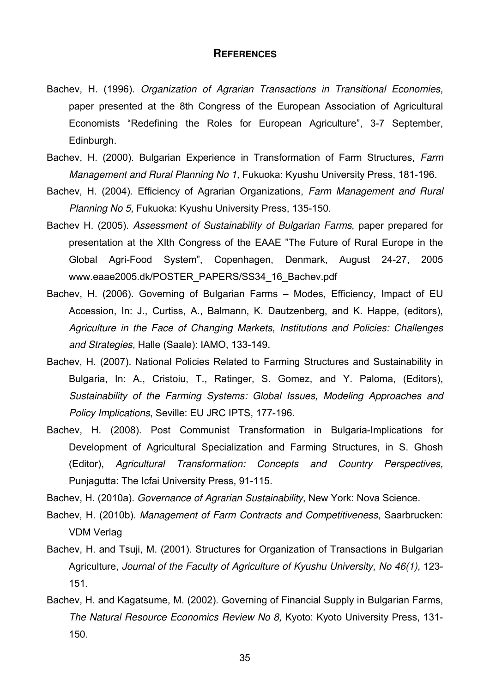#### **REFERENCES**

- Bachev, H. (1996). Organization of Agrarian Transactions in Transitional Economies, paper presented at the 8th Congress of the European Association of Agricultural Economists "Redefining the Roles for European Agriculture", 3-7 September, Edinburgh.
- Bachev, H. (2000). Bulgarian Experience in Transformation of Farm Structures, Farm Management and Rural Planning No 1, Fukuoka: Kyushu University Press, 181-196.
- Bachev, H. (2004). Efficiency of Agrarian Organizations, Farm Management and Rural Planning No 5, Fukuoka: Kyushu University Press, 135-150.
- Bachev H. (2005). Assessment of Sustainability of Bulgarian Farms, paper prepared for presentation at the XIth Congress of the EAAE "The Future of Rural Europe in the Global Agri-Food System", Copenhagen, Denmark, August 24-27, 2005 www.eaae2005.dk/POSTER\_PAPERS/SS34\_16\_Bachev.pdf
- Bachev, H. (2006). Governing of Bulgarian Farms Modes, Efficiency, Impact of EU Accession, In: J., Curtiss, A., Balmann, K. Dautzenberg, and K. Happe, (editors), Agriculture in the Face of Changing Markets, Institutions and Policies: Challenges and Strategies, Halle (Saale): IAMO, 133-149.
- Bachev, H. (2007). National Policies Related to Farming Structures and Sustainability in Bulgaria, In: A., Cristoiu, T., Ratinger, S. Gomez, and Y. Paloma, (Editors), Sustainability of the Farming Systems: Global Issues, Modeling Approaches and Policy Implications, Seville: EU JRC IPTS, 177-196.
- Bachev, H. (2008). Post Communist Transformation in Bulgaria-Implications for Development of Agricultural Specialization and Farming Structures, in S. Ghosh (Editor), Agricultural Transformation: Concepts and Country Perspectives, Punjagutta: The Icfai University Press, 91-115.

Bachev, H. (2010a). Governance of Agrarian Sustainability, New York: Nova Science.

- Bachev, H. (2010b). Management of Farm Contracts and Competitiveness, Saarbrucken: VDM Verlag
- Bachev, H. and Tsuji, M. (2001). Structures for Organization of Transactions in Bulgarian Agriculture, Journal of the Faculty of Agriculture of Kyushu University, No 46(1), 123-151.
- Bachev, H. and Kagatsume, M. (2002). Governing of Financial Supply in Bulgarian Farms, The Natural Resource Economics Review No 8, Kyoto: Kyoto University Press, 131- 150.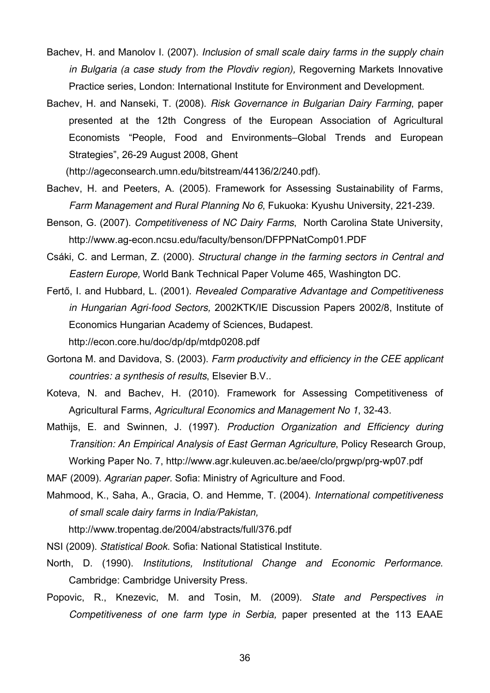- Bachev, H. and Manolov I. (2007). Inclusion of small scale dairy farms in the supply chain in Bulgaria (a case study from the Plovdiv region), Regoverning Markets Innovative Practice series, London: International Institute for Environment and Development.
- Bachev, H. and Nanseki, T. (2008). Risk Governance in Bulgarian Dairy Farming, paper presented at the 12th Congress of the European Association of Agricultural Economists "People, Food and Environments–Global Trends and European Strategies", 26-29 August 2008, Ghent

(http://ageconsearch.umn.edu/bitstream/44136/2/240.pdf).

- Bachev, H. and Peeters, A. (2005). Framework for Assessing Sustainability of Farms, Farm Management and Rural Planning No 6, Fukuoka: Kyushu University, 221-239.
- Benson, G. (2007). Competitiveness of NC Dairy Farms, North Carolina State University, http://www.ag-econ.ncsu.edu/faculty/benson/DFPPNatComp01.PDF
- Csáki, C. and Lerman, Z. (2000). Structural change in the farming sectors in Central and Eastern Europe, World Bank Technical Paper Volume 465, Washington DC.
- Fertő, I. and Hubbard, L. (2001). Revealed Comparative Advantage and Competitiveness in Hungarian Agri-food Sectors, 2002KTK/IE Discussion Papers 2002/8, Institute of Economics Hungarian Academy of Sciences, Budapest. http://econ.core.hu/doc/dp/dp/mtdp0208.pdf
- Gortona M. and Davidova, S. (2003). Farm productivity and efficiency in the CEE applicant countries: a synthesis of results, Elsevier B.V..
- Koteva, N. and Bachev, H. (2010). Framework for Assessing Competitiveness of Agricultural Farms, Agricultural Economics and Management No 1, 32-43.
- Mathijs, E. and Swinnen, J. (1997). Production Organization and Efficiency during Transition: An Empirical Analysis of East German Agriculture, Policy Research Group, Working Paper No. 7, http://www.agr.kuleuven.ac.be/aee/clo/prgwp/prg-wp07.pdf

MAF (2009). Agrarian paper. Sofia: Ministry of Agriculture and Food.

Mahmood, K., Saha, A., Gracia, O. and Hemme, T. (2004). International competitiveness of small scale dairy farms in India/Pakistan,

http://www.tropentag.de/2004/abstracts/full/376.pdf

NSI (2009). Statistical Book. Sofia: National Statistical Institute.

- North, D. (1990). Institutions, Institutional Change and Economic Performance. Cambridge: Cambridge University Press.
- Popovic, R., Knezevic, M. and Tosin, M. (2009). State and Perspectives in Competitiveness of one farm type in Serbia, paper presented at the 113 EAAE